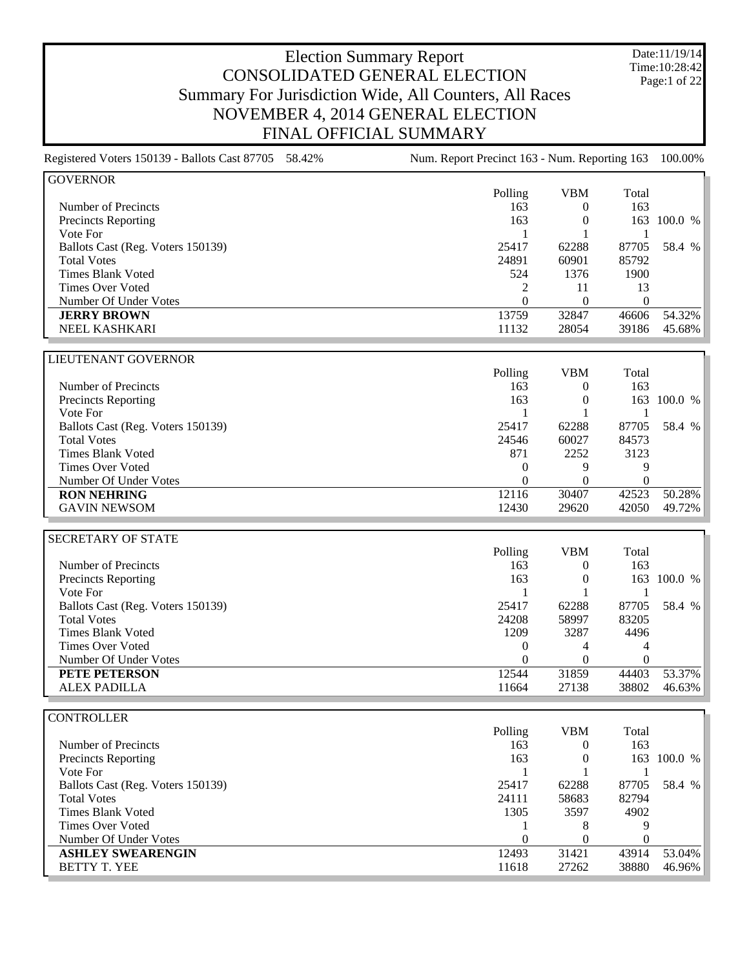Date:11/19/14 Time:10:28:42 Page:1 of 22

| Registered Voters 150139 - Ballots Cast 87705 58.42% | Num. Report Precinct 163 - Num. Reporting 163 |                  |                  | 100.00% |
|------------------------------------------------------|-----------------------------------------------|------------------|------------------|---------|
| <b>GOVERNOR</b>                                      |                                               |                  |                  |         |
|                                                      | Polling                                       | <b>VBM</b>       | Total            |         |
| Number of Precincts                                  | 163                                           | $\theta$         | 163              |         |
| Precincts Reporting                                  | 163                                           | $\boldsymbol{0}$ | 163              | 100.0 % |
| Vote For                                             | 1                                             | 1                | 1                |         |
| Ballots Cast (Reg. Voters 150139)                    | 25417                                         | 62288            | 87705            | 58.4 %  |
| <b>Total Votes</b>                                   | 24891                                         | 60901            | 85792            |         |
| <b>Times Blank Voted</b>                             | 524                                           | 1376             | 1900             |         |
| <b>Times Over Voted</b>                              | 2                                             | 11               | 13               |         |
| Number Of Under Votes                                | $\overline{0}$                                | $\boldsymbol{0}$ | $\boldsymbol{0}$ |         |
| <b>JERRY BROWN</b>                                   | 13759                                         | 32847            | 46606            | 54.32%  |
| NEEL KASHKARI                                        | 11132                                         | 28054            | 39186            | 45.68%  |
|                                                      |                                               |                  |                  |         |
| LIEUTENANT GOVERNOR                                  |                                               |                  |                  |         |
|                                                      | Polling                                       | <b>VBM</b>       | Total            |         |
| Number of Precincts                                  | 163                                           | $\mathbf{0}$     | 163              |         |
| <b>Precincts Reporting</b>                           | 163                                           | $\boldsymbol{0}$ | 163              | 100.0 % |
| Vote For                                             | 1                                             | $\mathbf{1}$     | 1                |         |
| Ballots Cast (Reg. Voters 150139)                    | 25417                                         | 62288            | 87705            | 58.4 %  |
| <b>Total Votes</b>                                   | 24546                                         | 60027            | 84573            |         |
| <b>Times Blank Voted</b>                             | 871                                           | 2252             | 3123             |         |
| <b>Times Over Voted</b>                              | 0                                             | 9                | 9                |         |
| Number Of Under Votes                                | $\overline{0}$                                | $\mathbf{0}$     | $\boldsymbol{0}$ |         |
| <b>RON NEHRING</b>                                   | 12116                                         | 30407            | 42523            | 50.28%  |
| <b>GAVIN NEWSOM</b>                                  | 12430                                         | 29620            | 42050            | 49.72%  |
|                                                      |                                               |                  |                  |         |
| <b>SECRETARY OF STATE</b>                            |                                               |                  |                  |         |
|                                                      | Polling                                       | <b>VBM</b>       | Total            |         |
| Number of Precincts                                  | 163                                           | $\overline{0}$   | 163              |         |
| <b>Precincts Reporting</b>                           | 163                                           | $\mathbf{0}$     | 163              | 100.0 % |
| Vote For                                             | 1                                             | 1                | 1                |         |
| Ballots Cast (Reg. Voters 150139)                    | 25417                                         | 62288            | 87705            | 58.4 %  |
| <b>Total Votes</b>                                   | 24208                                         | 58997            | 83205            |         |
| <b>Times Blank Voted</b>                             | 1209                                          | 3287             | 4496             |         |
| <b>Times Over Voted</b>                              | $\theta$                                      | 4                | 4                |         |
| Number Of Under Votes                                | $\theta$                                      | $\theta$         | $\theta$         |         |
| PETE PETERSON                                        | 12544                                         | 31859            | 44403            | 53.37%  |
| <b>ALEX PADILLA</b>                                  | 11664                                         | 27138            | 38802            | 46.63%  |

#### **CONTROLLER**

|                                   | Polling  | VBM   | Total |         |
|-----------------------------------|----------|-------|-------|---------|
| Number of Precincts               | 163      |       | 163   |         |
| Precincts Reporting               | 163      |       | 163.  | 100.0 % |
| Vote For                          |          |       |       |         |
| Ballots Cast (Reg. Voters 150139) | 25417    | 62288 | 87705 | 58.4 %  |
| <b>Total Votes</b>                | 24111    | 58683 | 82794 |         |
| Times Blank Voted                 | 1305     | 3597  | 4902  |         |
| Times Over Voted                  |          | 8     | 9     |         |
| Number Of Under Votes             | $\Omega$ |       |       |         |
| <b>ASHLEY SWEARENGIN</b>          | 12493    | 31421 | 43914 | 53.04%  |
| <b>BETTY T. YEE</b>               | 11618    | 27262 | 38880 | 46.96%  |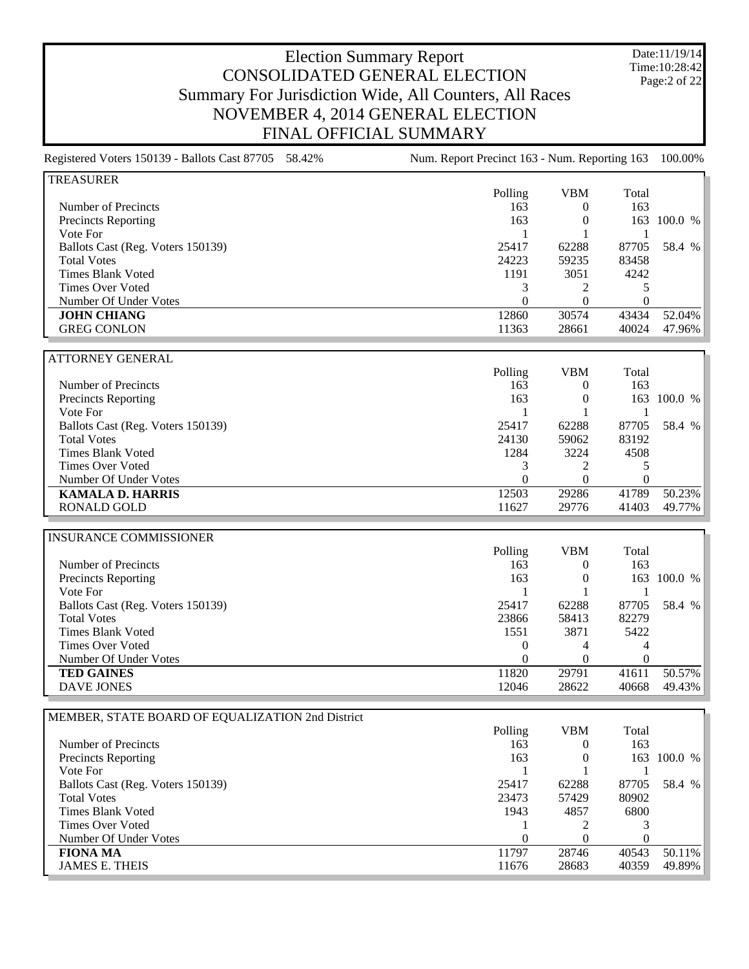Date:11/19/14 Time:10:28:42 Page:2 of 22

| Registered Voters 150139 - Ballots Cast 87705 58.42% | Num. Report Precinct 163 - Num. Reporting 163 |                  |                  | 100.00%     |
|------------------------------------------------------|-----------------------------------------------|------------------|------------------|-------------|
| <b>TREASURER</b>                                     |                                               |                  |                  |             |
|                                                      | Polling                                       | <b>VBM</b>       | Total            |             |
| Number of Precincts                                  | 163                                           | $\overline{0}$   | 163              |             |
| <b>Precincts Reporting</b>                           | 163                                           | $\boldsymbol{0}$ | 163              | 100.0 %     |
| Vote For                                             | $\mathbf{1}$                                  | 1                | 1                |             |
| Ballots Cast (Reg. Voters 150139)                    | 25417                                         | 62288            | 87705            | 58.4 %      |
| <b>Total Votes</b>                                   | 24223                                         | 59235            | 83458            |             |
| <b>Times Blank Voted</b>                             | 1191                                          | 3051             | 4242             |             |
| <b>Times Over Voted</b>                              | 3                                             | $\overline{c}$   | 5                |             |
| Number Of Under Votes                                | $\boldsymbol{0}$                              | $\theta$         | $\boldsymbol{0}$ |             |
| <b>JOHN CHIANG</b>                                   | 12860                                         | 30574            | 43434            | 52.04%      |
| <b>GREG CONLON</b>                                   | 11363                                         | 28661            | 40024            | 47.96%      |
|                                                      |                                               |                  |                  |             |
| <b>ATTORNEY GENERAL</b>                              |                                               |                  |                  |             |
|                                                      | Polling                                       | <b>VBM</b>       | Total            |             |
| Number of Precincts                                  | 163                                           | $\boldsymbol{0}$ | 163              |             |
| <b>Precincts Reporting</b>                           | 163                                           | $\boldsymbol{0}$ | 163              | 100.0 %     |
| Vote For                                             | $\mathbf{1}$                                  | 1                | 1                |             |
| Ballots Cast (Reg. Voters 150139)                    | 25417                                         | 62288            | 87705            | 58.4 %      |
| <b>Total Votes</b>                                   | 24130                                         | 59062            | 83192            |             |
| <b>Times Blank Voted</b>                             | 1284                                          | 3224             | 4508             |             |
| <b>Times Over Voted</b>                              | 3                                             | $\overline{c}$   | 5                |             |
| Number Of Under Votes                                | $\overline{0}$                                | $\overline{0}$   | $\boldsymbol{0}$ |             |
| <b>KAMALA D. HARRIS</b>                              | 12503                                         | 29286            | 41789            | 50.23%      |
| <b>RONALD GOLD</b>                                   | 11627                                         | 29776            | 41403            | 49.77%      |
|                                                      |                                               |                  |                  |             |
| <b>INSURANCE COMMISSIONER</b>                        |                                               |                  |                  |             |
|                                                      | Polling                                       | <b>VBM</b>       | Total            |             |
| Number of Precincts                                  | 163                                           | $\overline{0}$   | 163              |             |
| Precincts Reporting                                  | 163                                           | $\boldsymbol{0}$ |                  | 163 100.0 % |
| Vote For                                             | 1                                             | 1                | 1                |             |
| Ballots Cast (Reg. Voters 150139)                    | 25417                                         | 62288            | 87705            | 58.4 %      |
| <b>Total Votes</b>                                   | 23866                                         | 58413            | 82279            |             |
| <b>Times Blank Voted</b>                             | 1551                                          | 3871             | 5422             |             |
| <b>Times Over Voted</b>                              | $\boldsymbol{0}$                              | 4                | 4                |             |
| Number Of Under Votes                                | $\boldsymbol{0}$                              | $\boldsymbol{0}$ | $\boldsymbol{0}$ |             |
| <b>TED GAINES</b>                                    | 11820                                         | 29791            | 41611            | 50.57%      |
| <b>DAVE JONES</b>                                    | 12046                                         | 28622            | 40668            | 49.43%      |
|                                                      |                                               |                  |                  |             |
| MEMBER, STATE BOARD OF EQUALIZATION 2nd District     |                                               |                  |                  |             |
|                                                      | Polling                                       | <b>VBM</b>       | Total            |             |
| Number of Precincts                                  | 163                                           | $\boldsymbol{0}$ | 163              |             |
| Precincts Reporting                                  | 163                                           | $\overline{0}$   |                  | 163 100.0 % |
|                                                      |                                               |                  |                  |             |

Vote For  $1 \t 1 \t 1$ Ballots Cast (Reg. Voters 150139) 25417 62288 87705 58.4 % Total Votes 23473 57429 80902 Times Blank Voted 1943 4857 6800<br>Times Over Voted 1943 4857 6800 Times Over Voted 1 2 3<br>Number Of Under Votes 0 0 0 0 0 Number Of Under Votes 0 0 0 **FIONA MA** 11797 28746 40543 50.11% JAMES E. THEIS 11676 28683 40359 49.89%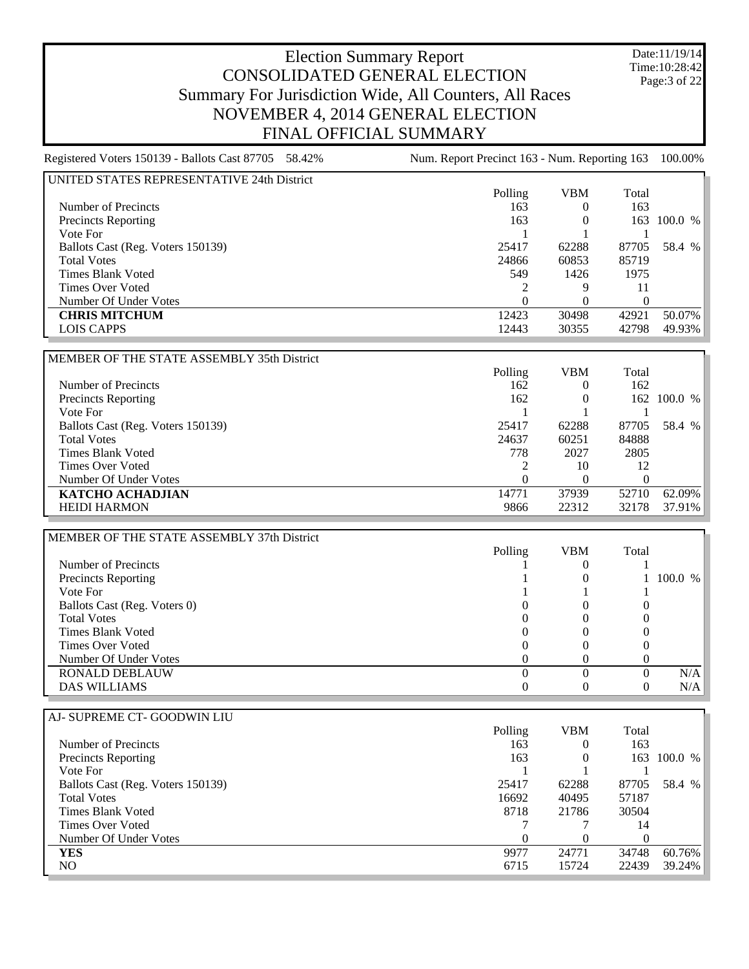Date:11/19/14 Time:10:28:42 Page:3 of 22

#### Election Summary Report CONSOLIDATED GENERAL ELECTION Summary For Jurisdiction Wide, All Counters, All Races NOVEMBER 4, 2014 GENERAL ELECTION FINAL OFFICIAL SUMMARY

| UNITED STATES REPRESENTATIVE 24th District |          |            |          |         |
|--------------------------------------------|----------|------------|----------|---------|
|                                            | Polling  | <b>VBM</b> | Total    |         |
| Number of Precincts                        | 163      |            | 163      |         |
| Precincts Reporting                        | 163      |            | 163      | 100.0 % |
| Vote For                                   |          |            |          |         |
| Ballots Cast (Reg. Voters 150139)          | 25417    | 62288      | 87705    | 58.4 %  |
| <b>Total Votes</b>                         | 24866    | 60853      | 85719    |         |
| Times Blank Voted                          | 549      | 1426       | 1975     |         |
| Times Over Voted                           |          |            | 11       |         |
| Number Of Under Votes                      | $\Omega$ |            | $\theta$ |         |
| <b>CHRIS MITCHUM</b>                       | 12423    | 30498      | 42921    | 50.07%  |
| LOIS CAPPS                                 | 12443    | 30355      | 42798    | 49.93%  |

| MEMBER OF THE STATE ASSEMBLY 35th District |          |            |          |             |
|--------------------------------------------|----------|------------|----------|-------------|
|                                            | Polling  | <b>VBM</b> | Total    |             |
| Number of Precincts                        | 162      | $\theta$   | 162      |             |
| <b>Precincts Reporting</b>                 | 162      | 0          |          | 162 100.0 % |
| Vote For                                   |          |            |          |             |
| Ballots Cast (Reg. Voters 150139)          | 25417    | 62288      | 87705    | 58.4 %      |
| <b>Total Votes</b>                         | 24637    | 60251      | 84888    |             |
| Times Blank Voted                          | 778      | 2027       | 2805     |             |
| Times Over Voted                           |          | 10         | 12       |             |
| Number Of Under Votes                      | $\theta$ | $\theta$   | $^{(1)}$ |             |
| <b>KATCHO ACHADJIAN</b>                    | 14771    | 37939      | 52710    | 62.09%      |
| <b>HEIDI HARMON</b>                        | 9866     | 22312      | 32178    | 37.91%      |

| MEMBER OF THE STATE ASSEMBLY 37th District |         |            |       |              |
|--------------------------------------------|---------|------------|-------|--------------|
|                                            | Polling | <b>VBM</b> | Total |              |
| Number of Precincts                        |         |            |       |              |
| Precincts Reporting                        |         | U          |       | $1\,100.0\%$ |
| Vote For                                   |         |            |       |              |
| Ballots Cast (Reg. Voters 0)               |         |            |       |              |
| <b>Total Votes</b>                         |         |            |       |              |
| Times Blank Voted                          |         |            |       |              |
| Times Over Voted                           |         |            |       |              |
| Number Of Under Votes                      |         |            |       |              |
| <b>RONALD DEBLAUW</b>                      |         |            |       | N/A          |
| <b>DAS WILLIAMS</b>                        |         |            |       | N/A          |

| AJ- SUPREME CT- GOODWIN LIU            |  |
|----------------------------------------|--|
| Number of Precincts                    |  |
| <b>Precincts Reporting</b><br>Vote For |  |

| Polling | VBM      | Total    |         |
|---------|----------|----------|---------|
| 163     | $\theta$ | 163      |         |
| 163     | $\theta$ | 163      | 100.0 % |
|         |          |          |         |
| 25417   | 62288    | 87705    | 58.4 %  |
| 16692   | 40495    | 57187    |         |
| 8718    | 21786    | 30504    |         |
|         |          | 14       |         |
| 0       | $\theta$ | $\Omega$ |         |
| 9977    | 24771    | 34748    | 60.76%  |
| 6715    | 15724    | 22439    | 39.24%  |
|         |          |          |         |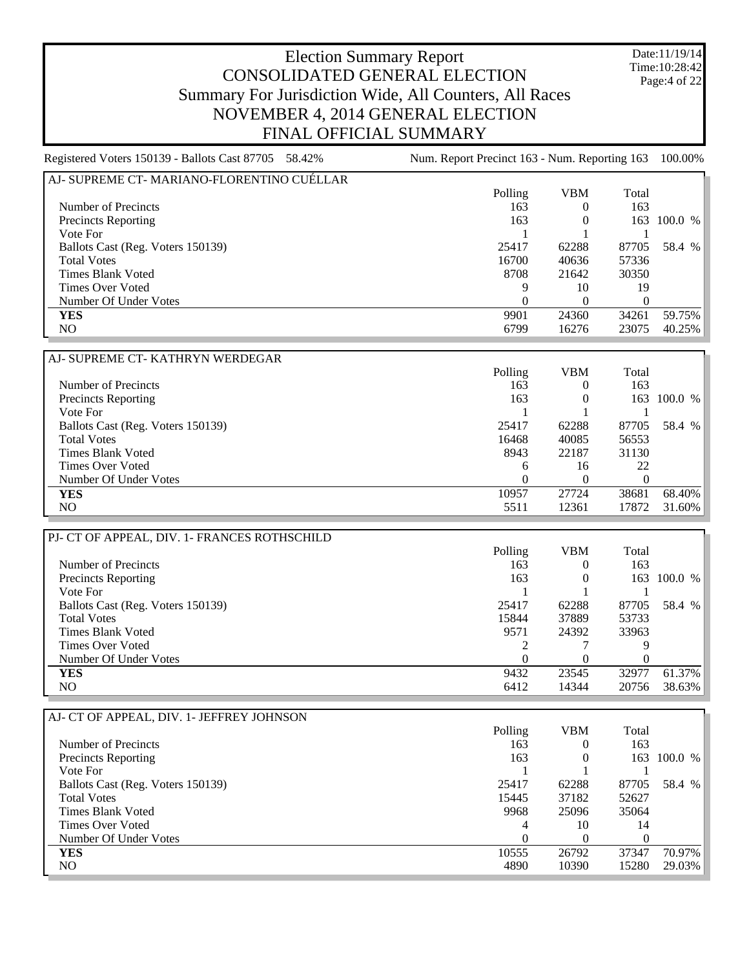Date:11/19/14 Time:10:28:42 Page:4 of 22

# Election Summary Report CONSOLIDATED GENERAL ELECTION Summary For Jurisdiction Wide, All Counters, All Races NOVEMBER 4, 2014 GENERAL ELECTION FINAL OFFICIAL SUMMARY

| AJ- SUPREME CT- MARIANO-FLORENTINO CUÉLLAR |         |       |       |           |
|--------------------------------------------|---------|-------|-------|-----------|
|                                            | Polling | VBM   | Total |           |
| Number of Precincts                        | 163     |       | 163   |           |
| <b>Precincts Reporting</b>                 | 163     |       | 163.  | 100.0 %   |
| Vote For                                   |         |       |       |           |
| Ballots Cast (Reg. Voters 150139)          | 25417   | 62288 | 87705 | 58.4 %    |
| <b>Total Votes</b>                         | 16700   | 40636 | 57336 |           |
| <b>Times Blank Voted</b>                   | 8708    | 21642 | 30350 |           |
| <b>Times Over Voted</b>                    | Q       | 10    | 19    |           |
| Number Of Under Votes                      |         |       |       |           |
| <b>YES</b>                                 | 9901    | 24360 | 34261 | 59.75%    |
| NO.                                        | 6799    | 16276 | 23075 | $40.25\%$ |
|                                            |         |       |       |           |

| AJ- SUPREME CT- KATHRYN WERDEGAR  |              |            |       |           |
|-----------------------------------|--------------|------------|-------|-----------|
|                                   | Polling      | <b>VBM</b> | Total |           |
| Number of Precincts               | 163          | 0          | 163   |           |
| Precincts Reporting               | 163          | 0          | 163   | 100.0 %   |
| Vote For                          |              |            |       |           |
| Ballots Cast (Reg. Voters 150139) | 25417        | 62288      | 87705 | 58.4 %    |
| <b>Total Votes</b>                | 16468        | 40085      | 56553 |           |
| Times Blank Voted                 | 8943         | 22187      | 31130 |           |
| Times Over Voted                  | <sub>6</sub> | 16         | 22    |           |
| Number Of Under Votes             |              |            |       |           |
| <b>YES</b>                        | 10957        | 27724      | 38681 | 68.40%    |
| NO                                | 5511         | 12361      | 17872 | $31.60\%$ |

| PJ- CT OF APPEAL, DIV. 1- FRANCES ROTHSCHILD |          |            |       |         |
|----------------------------------------------|----------|------------|-------|---------|
|                                              | Polling  | <b>VBM</b> | Total |         |
| Number of Precincts                          | 163      | $^{(1)}$   | 163   |         |
| <b>Precincts Reporting</b>                   | 163      | $\Omega$   | 163.  | 100.0 % |
| Vote For                                     |          |            |       |         |
| Ballots Cast (Reg. Voters 150139)            | 25417    | 62288      | 87705 | 58.4 %  |
| <b>Total Votes</b>                           | 15844    | 37889      | 53733 |         |
| Times Blank Voted                            | 9571     | 24392      | 33963 |         |
| Times Over Voted                             | ∍        |            | Q     |         |
| Number Of Under Votes                        | $\Omega$ |            | 0     |         |
| <b>YES</b>                                   | 9432     | 23545      | 32977 | 61.37%  |
| NO.                                          | 6412     | 14344      | 20756 | 38.63%  |

| AJ- CT OF APPEAL, DIV. 1- JEFFREY JOHNSON |         |       |       |         |
|-------------------------------------------|---------|-------|-------|---------|
|                                           | Polling | VBM   | Total |         |
| Number of Precincts                       | 163     |       | 163   |         |
| <b>Precincts Reporting</b>                | 163     |       | 163   | 100.0 % |
| Vote For                                  |         |       |       |         |
| Ballots Cast (Reg. Voters 150139)         | 25417   | 62288 | 87705 | 58.4 %  |
| <b>Total Votes</b>                        | 15445   | 37182 | 52627 |         |
| Times Blank Voted                         | 9968    | 25096 | 35064 |         |
| Times Over Voted                          | 4       | 10    | 14    |         |
| Number Of Under Votes                     | 0       |       |       |         |
| <b>YES</b>                                | 10555   | 26792 | 37347 | 70.97%  |
| NO.                                       | 4890    | 10390 | 15280 | 29.03%  |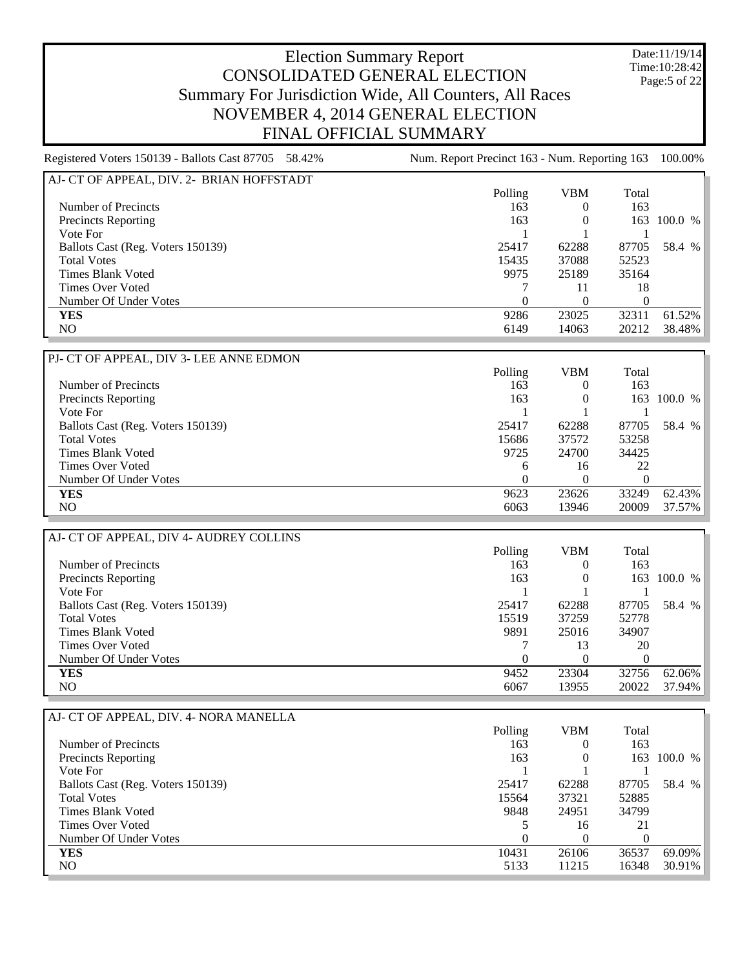Date:11/19/14 Time:10:28:42 Page:5 of 22

#### Election Summary Report CONSOLIDATED GENERAL ELECTION Summary For Jurisdiction Wide, All Counters, All Races NOVEMBER 4, 2014 GENERAL ELECTION FINAL OFFICIAL SUMMARY

Registered Voters 150139 - Ballots Cast 87705 58.42% Num. Report Precinct 163 - Num. Reporting 163 100.00% AJ- CT OF APPEAL, DIV. 2- BRIAN HOFFSTADT Polling VBM Total Number of Precincts and the contract of Precincts and the contract of the contract of Precincts and the contract of the contract of the contract of the contract of the contract of the contract of the contract of the contra Precincts Reporting 163 0 163 100.0 % Vote For 1 1 1 Ballots Cast (Reg. Voters 150139) 25417 62288 87705 58.4 % Total Votes 52523 52523 52523 Times Blank Voted 35164 35164 Times Over Voted 2008 2009 12:00 12:00 12:00 12:00 12:00 12:00 13:00 13:00 13:00 13:00 13:00 13:00 13:00 13:00 13:00 14:00 14:00 14:00 14:00 14:00 14:00 14:00 14:00 14:00 14:00 14:00 14:00 14:00 14:00 14:00 14:00 14:00 14: Number Of Under Votes 0 0 0 **YES** 9286 23025 32311 61.52% NO 6149 14063 20212 38.48% PJ- CT OF APPEAL, DIV 3- LEE ANNE EDMON Polling VBM Total Number of Precincts<br>
Precincts Reporting<br>
163 0 163 100.0 % Precincts Reporting Vote For  $1 \t 1 \t 1$ Ballots Cast (Reg. Voters 150139) 25417 62288 87705 58.4 % Total Votes 15686 37572 53258 Times Blank Voted 34425 Times Over Voted 6 16 22 Number Of Under Votes 0 0 0 **YES** 9623 23626 33249 62.43% NO 6063 13946 20009 37.57% AJ- CT OF APPEAL, DIV 4- AUDREY COLLINS Polling VBM Total Number of Precincts and the contract of Precincts and the contract of the contract of Precincts and the contract of the contract of the contract of the contract of the contract of the contract of the contract of the contra Precincts Reporting 163 0 163 100.0 % Vote For  $1 \t 1 \t 1$ Ballots Cast (Reg. Voters 150139) 25417 62288 87705 58.4 % Total Votes 15519 37259 52778 Times Blank Voted 9891 25016 34907 Times Over Voted 7 13 20 Number Of Under Votes 0 0 0 **YES** 9452 23304 32756 62.06%

| AJ- CT OF APPEAL, DIV. 4- NORA MANELLA |          |            |       |         |
|----------------------------------------|----------|------------|-------|---------|
|                                        | Polling  | <b>VBM</b> | Total |         |
| Number of Precincts                    | 163      | O          | 163   |         |
| <b>Precincts Reporting</b>             | 163      | 0          | 163.  | 100.0 % |
| Vote For                               |          |            |       |         |
| Ballots Cast (Reg. Voters 150139)      | 25417    | 62288      | 87705 | 58.4 %  |
| <b>Total Votes</b>                     | 15564    | 37321      | 52885 |         |
| <b>Times Blank Voted</b>               | 9848     | 24951      | 34799 |         |
| Times Over Voted                       |          | 16         | 21    |         |
| Number Of Under Votes                  | $\Omega$ | 0          |       |         |
| <b>YES</b>                             | 10431    | 26106      | 36537 | 69.09%  |
| NO.                                    | 5133     | 11215      | 16348 | 30.91%  |

NO 6067 13955 20022 37.94%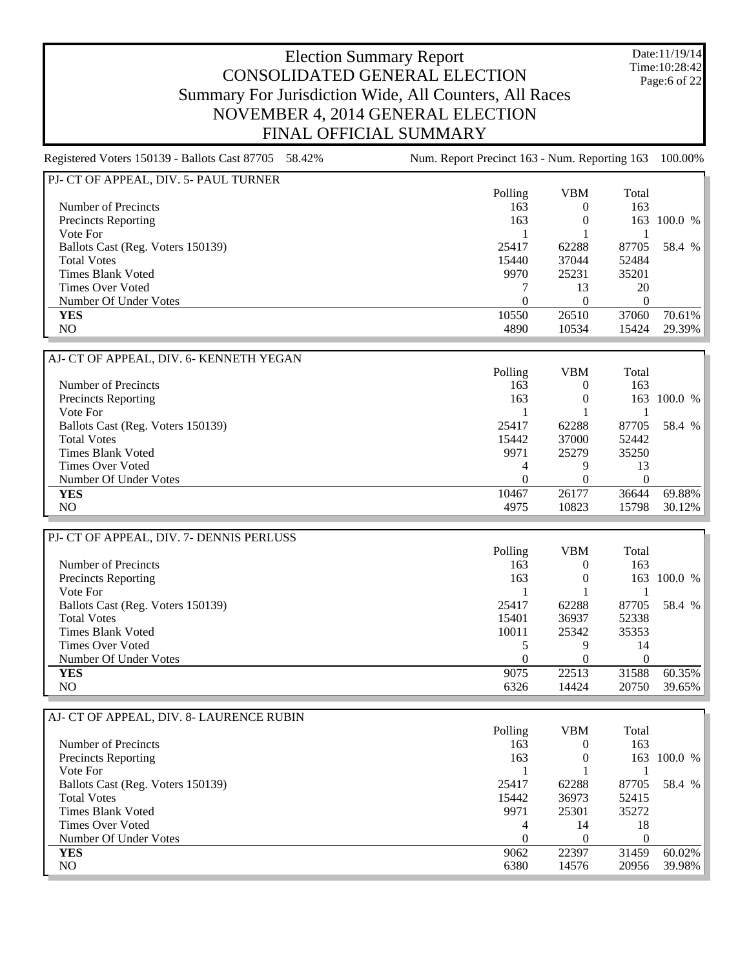Date:11/19/14 Time:10:28:42 Page:6 of 22

#### Election Summary Report CONSOLIDATED GENERAL ELECTION Summary For Jurisdiction Wide, All Counters, All Races NOVEMBER 4, 2014 GENERAL ELECTION FINAL OFFICIAL SUMMARY

Registered Voters 150139 - Ballots Cast 87705 58.42% Num. Report Precinct 163 - Num. Reporting 163 100.00%

PJ- CT OF APPEAL, DIV. 5- PAUL TURNER Polling VBM Total Number of Precincts and the contract of Precincts and the contract of the contract of Precincts and the contract of the contract of the contract of the contract of the contract of the contract of the contract of the contra Precincts Reporting 2008 163 100.0 % Vote For 1 1 1 Ballots Cast (Reg. Voters 150139) 25417 62288 87705 58.4 % Total Votes 22484 52484 52484 52484 52484 52484 52484 52484 52484 52484 52484 52484 52484 52484 52484 52484 52 Times Blank Voted 25231 35201 Times Over Voted 7 13 20 Number Of Under Votes 0 0 0 **YES** 10550 26510 37060 70.61% NO 4890 10534 15424 29.39% AJ- CT OF APPEAL, DIV. 6- KENNETH YEGAN Polling VBM Total Number of Precincts<br>
Precincts Reporting<br>
163 0 163 100.0 % Precincts Reporting Vote For  $1 \t 1 \t 1$ Ballots Cast (Reg. Voters 150139) 25417 62288 87705 58.4 % Total Votes 15442 37000 52442 Times Blank Voted 9971 25279 35250 Times Over Voted 4 9 13<br>
Number Of Under Votes 6 13<br>
20 13<br>
20 13 Number Of Under Votes 0 0 0 **YES** 10467 26177 36644 69.88% NO 4975 10823 15798 30.12% PJ- CT OF APPEAL, DIV. 7- DENNIS PERLUSS Polling VBM Total Number of Precincts and the contract of Precincts and the contract of the contract of Precincts and the contract of the contract of the contract of the contract of the contract of the contract of the contract of the contra Precincts Reporting 163 0 163 100.0 % Vote For  $1 \t 1 \t 1$ Ballots Cast (Reg. Voters 150139) 25417 62288 87705 58.4 % Total Votes 2338 52338 52338 52338 52338 52338 52338 52338 52338 52338 52338 52338 Times Blank Voted 25342 35353 Times Over Voted 5 9 14 Number Of Under Votes 0 0 0 **YES** 9075 22513 31588 60.35% NO 6326 14424 20750 39.65% AJ- CT OF APPEAL, DIV. 8- LAURENCE RUBIN Polling VBM Total Number of Precincts<br>
Precincts Reporting<br>
163 0 163 100.0 % Precincts Reporting 163 0 Vote For  $1 \t 1 \t 1$ Ballots Cast (Reg. Voters 150139) 25417 62288 87705 58.4 % Total Votes 26973 52415 Times Blank Voted 35272 Times Over Voted 18 Number Of Under Votes 0 0 0 **YES** 9062 22397 31459 60.02%

NO 6380 14576 20956 39.98%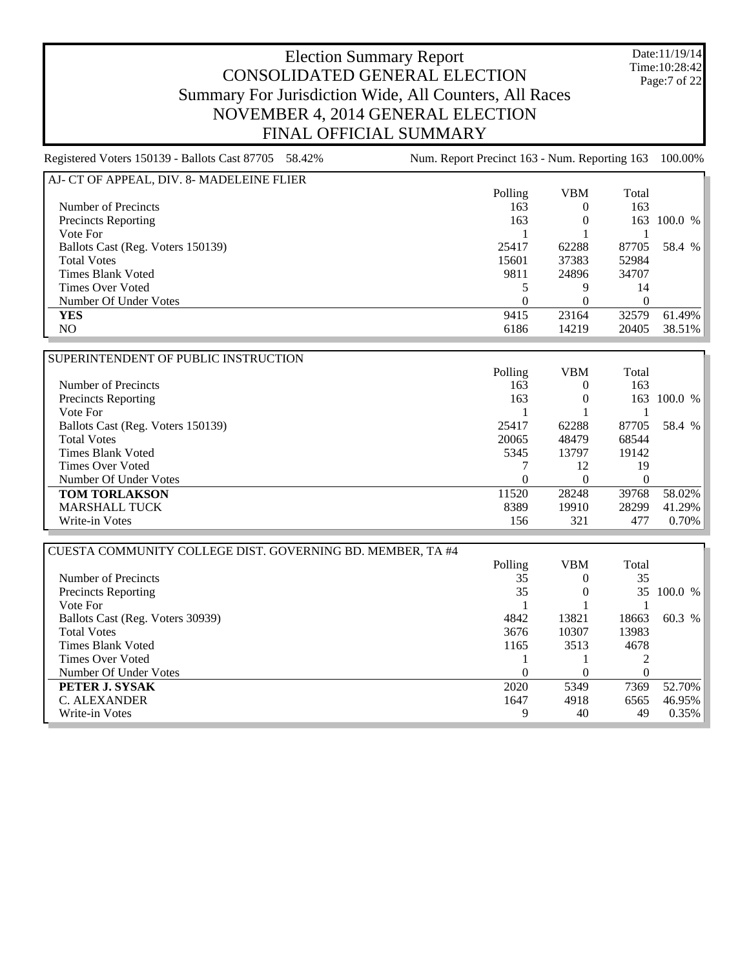Date:11/19/14 Time:10:28:42 Page:7 of 22

## Election Summary Report CONSOLIDATED GENERAL ELECTION Summary For Jurisdiction Wide, All Counters, All Races NOVEMBER 4, 2014 GENERAL ELECTION FINAL OFFICIAL SUMMARY

| AJ- CT OF APPEAL, DIV. 8- MADELEINE FLIER |         |       |       |           |
|-------------------------------------------|---------|-------|-------|-----------|
|                                           | Polling | VBM   | Total |           |
| Number of Precincts                       | 163     |       | 163   |           |
| <b>Precincts Reporting</b>                | 163     | 0     | 163   | 100.0 %   |
| Vote For                                  |         |       |       |           |
| Ballots Cast (Reg. Voters 150139)         | 25417   | 62288 | 87705 | 58.4 %    |
| <b>Total Votes</b>                        | 15601   | 37383 | 52984 |           |
| Times Blank Voted                         | 9811    | 24896 | 34707 |           |
| <b>Times Over Voted</b>                   |         | Q     | 14    |           |
| Number Of Under Votes                     | 0       |       |       |           |
| <b>YES</b>                                | 9415    | 23164 | 32579 | $61.49\%$ |
| NO                                        | 6186    | 14219 | 20405 | 38.51%    |

| SUPERINTENDENT OF PUBLIC INSTRUCTION |          |            |          |           |
|--------------------------------------|----------|------------|----------|-----------|
|                                      | Polling  | <b>VBM</b> | Total    |           |
| Number of Precincts                  | 163      |            | 163      |           |
| <b>Precincts Reporting</b>           | 163      |            | 163      | 100.0 %   |
| Vote For                             |          |            |          |           |
| Ballots Cast (Reg. Voters 150139)    | 25417    | 62288      | 87705    | 58.4 %    |
| <b>Total Votes</b>                   | 20065    | 48479      | 68544    |           |
| Times Blank Voted                    | 5345     | 13797      | 19142    |           |
| Times Over Voted                     |          | 12         | 19       |           |
| Number Of Under Votes                | $\theta$ | $\theta$   | $\theta$ |           |
| <b>TOM TORLAKSON</b>                 | 11520    | 28248      | 39768    | 58.02%    |
| <b>MARSHALL TUCK</b>                 | 8389     | 19910      | 28299    | $41.29\%$ |
| Write-in Votes                       | 156      | 321        | 477      | $0.70\%$  |

| CUESTA COMMUNITY COLLEGE DIST. GOVERNING BD. MEMBER, TA #4 |         |            |          |         |
|------------------------------------------------------------|---------|------------|----------|---------|
|                                                            | Polling | <b>VBM</b> | Total    |         |
| Number of Precincts                                        | 35      | $\theta$   | 35       |         |
| <b>Precincts Reporting</b>                                 | 35      | $\theta$   | 35       | 100.0 % |
| Vote For                                                   |         |            |          |         |
| Ballots Cast (Reg. Voters 30939)                           | 4842    | 13821      | 18663    | 60.3 %  |
| <b>Total Votes</b>                                         | 3676    | 10307      | 13983    |         |
| Times Blank Voted                                          | 1165    | 3513       | 4678     |         |
| Times Over Voted                                           |         |            |          |         |
| Number Of Under Votes                                      | 0       | $\Omega$   | $\theta$ |         |
| PETER J. SYSAK                                             | 2020    | 5349       | 7369     | 52.70%  |
| C. ALEXANDER                                               | 1647    | 4918       | 6565     | 46.95%  |
| Write-in Votes                                             | 9       | 40         | 49       | 0.35%   |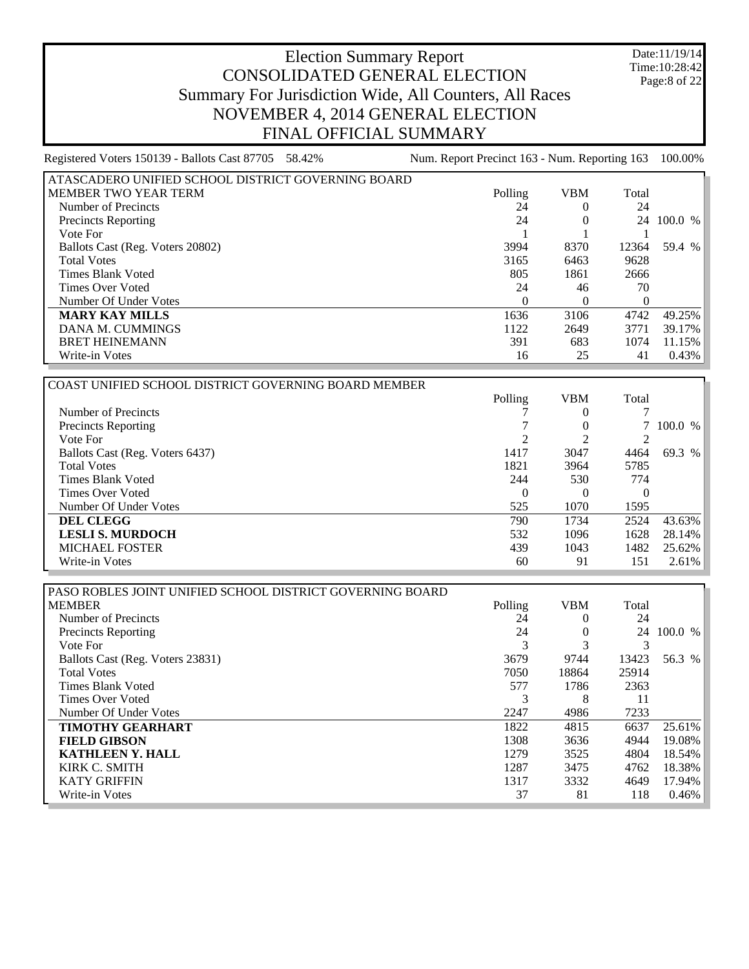Date:11/19/14 Time:10:28:42 Page:8 of 22

| Registered Voters 150139 - Ballots Cast 87705 58.42% | Num. Report Precinct 163 - Num. Reporting 163 |            |       | 100.00%  |
|------------------------------------------------------|-----------------------------------------------|------------|-------|----------|
| ATASCADERO UNIFIED SCHOOL DISTRICT GOVERNING BOARD   |                                               |            |       |          |
| l MEMBER TWO YEAR TERM                               | Polling                                       | <b>VBM</b> | Total |          |
| Number of Precincts                                  | 24                                            |            | 24    |          |
| <b>Precincts Reporting</b>                           | 24                                            |            | 24    | 100.0 %  |
| Vote For                                             |                                               |            |       |          |
| Ballots Cast (Reg. Voters 20802)                     | 3994                                          | 8370       | 12364 | 59.4 %   |
| <b>Total Votes</b>                                   | 3165                                          | 6463       | 9628  |          |
| Times Blank Voted                                    | 805                                           | 1861       | 2666  |          |
| Times Over Voted                                     | 24                                            | 46         | 70    |          |
| Number Of Under Votes                                |                                               |            | 0     |          |
| <b>MARY KAY MILLS</b>                                | 1636                                          | 3106       | 4742  | 49.25%   |
| DANA M. CUMMINGS                                     | 1122                                          | 2649       | 3771  | 39.17%   |
| <b>BRET HEINEMANN</b>                                | 391                                           | 683        | 1074  | 11.15%   |
| Write-in Votes                                       | 16                                            | 25         | 41    | $0.43\%$ |

| COAST UNIFIED SCHOOL DISTRICT GOVERNING BOARD MEMBER |          |            |          |           |
|------------------------------------------------------|----------|------------|----------|-----------|
|                                                      | Polling  | <b>VBM</b> | Total    |           |
| Number of Precincts                                  |          |            |          |           |
| <b>Precincts Reporting</b>                           |          |            |          | 100.0 %   |
| Vote For                                             |          |            |          |           |
| Ballots Cast (Reg. Voters 6437)                      | 1417     | 3047       | 4464     | 69.3 %    |
| <b>Total Votes</b>                                   | 1821     | 3964       | 5785     |           |
| Times Blank Voted                                    | 244      | 530        | 774      |           |
| Times Over Voted                                     | $\theta$ |            | $\theta$ |           |
| Number Of Under Votes                                | 525      | 1070       | 1595     |           |
| <b>DEL CLEGG</b>                                     | 790      | 1734       | 2524     | $43.63\%$ |
| <b>LESLI S. MURDOCH</b>                              | 532      | 1096       | 1628     | $28.14\%$ |
| <b>MICHAEL FOSTER</b>                                | 439      | 1043       | 1482     | $25.62\%$ |
| Write-in Votes                                       | 60       | 91         | 151      | $2.61\%$  |

| PASO ROBLES JOINT UNIFIED SCHOOL DISTRICT GOVERNING BOARD |         |            |       |         |
|-----------------------------------------------------------|---------|------------|-------|---------|
| <b>MEMBER</b>                                             | Polling | <b>VBM</b> | Total |         |
| Number of Precincts                                       | 24      |            | 24    |         |
| <b>Precincts Reporting</b>                                | 24      | $\theta$   | 24    | 100.0 % |
| Vote For                                                  | 3       |            |       |         |
| Ballots Cast (Reg. Voters 23831)                          | 3679    | 9744       | 13423 | 56.3 %  |
| <b>Total Votes</b>                                        | 7050    | 18864      | 25914 |         |
| Times Blank Voted                                         | 577     | 1786       | 2363  |         |
| Times Over Voted                                          | 3       | 8          | 11    |         |
| Number Of Under Votes                                     | 2247    | 4986       | 7233  |         |
| <b>TIMOTHY GEARHART</b>                                   | 1822    | 4815       | 6637  | 25.61%  |
| <b>FIELD GIBSON</b>                                       | 1308    | 3636       | 4944  | 19.08%  |
| <b>KATHLEEN Y. HALL</b>                                   | 1279    | 3525       | 4804  | 18.54%  |
| KIRK C. SMITH                                             | 1287    | 3475       | 4762  | 18.38%  |
| <b>KATY GRIFFIN</b>                                       | 1317    | 3332       | 4649  | 17.94%  |
| Write-in Votes                                            | 37      | 81         | 118   | 0.46%   |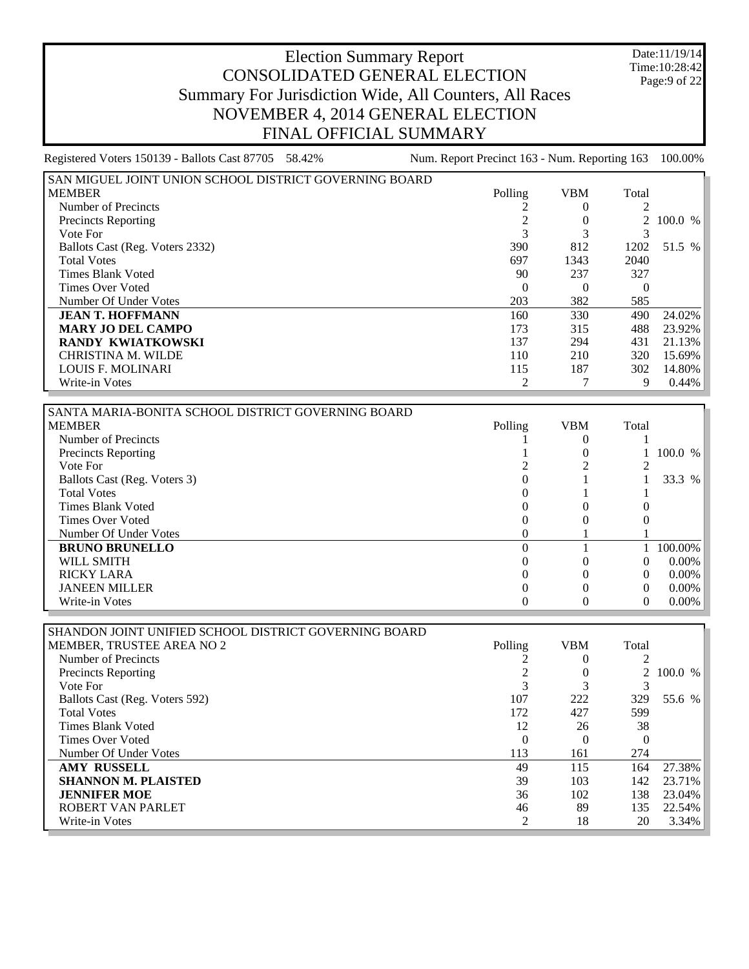Date:11/19/14 Time:10:28:42 Page:9 of 22

| Registered Voters 150139 - Ballots Cast 87705 58.42%   | Num. Report Precinct 163 - Num. Reporting 163 |            |                | 100.00% |
|--------------------------------------------------------|-----------------------------------------------|------------|----------------|---------|
| SAN MIGUEL JOINT UNION SCHOOL DISTRICT GOVERNING BOARD |                                               |            |                |         |
| <b>MEMBER</b>                                          | Polling                                       | <b>VBM</b> | Total          |         |
| Number of Precincts                                    |                                               | $\theta$   | $\overline{c}$ |         |
| <b>Precincts Reporting</b>                             |                                               |            |                | 100.0 % |
| Vote For                                               | 3                                             |            |                |         |
| Ballots Cast (Reg. Voters 2332)                        | 390                                           | 812        | 1202           | 51.5 %  |
| <b>Total Votes</b>                                     | 697                                           | 1343       | 2040           |         |
| Times Blank Voted                                      | 90                                            | 237        | 327            |         |
| Times Over Voted                                       | $\Omega$                                      | $\theta$   | $\theta$       |         |
| Number Of Under Votes                                  | 203                                           | 382        | 585            |         |
| <b>JEAN T. HOFFMANN</b>                                | 160                                           | 330        | 490            | 24.02%  |
| <b>MARY JO DEL CAMPO</b>                               | 173                                           | 315        | 488            | 23.92%  |
| RANDY KWIATKOWSKI                                      | 137                                           | 294        | 431            | 21.13%  |
| <b>CHRISTINA M. WILDE</b>                              | 110                                           | 210        | 320            | 15.69%  |
| <b>LOUIS F. MOLINARI</b>                               | 115                                           | 187        | 302            | 14.80%  |
| Write-in Votes                                         | $\overline{c}$                                |            | 9              | 0.44%   |
|                                                        |                                               |            |                |         |

| SANTA MARIA-BONITA SCHOOL DISTRICT GOVERNING BOARD |         |            |          |          |
|----------------------------------------------------|---------|------------|----------|----------|
| <b>MEMBER</b>                                      | Polling | <b>VBM</b> | Total    |          |
| Number of Precincts                                |         |            |          |          |
| Precincts Reporting                                |         |            |          | 100.0 %  |
| Vote For                                           |         |            |          |          |
| Ballots Cast (Reg. Voters 3)                       |         |            |          | 33.3 %   |
| <b>Total Votes</b>                                 |         |            |          |          |
| Times Blank Voted                                  |         |            |          |          |
| Times Over Voted                                   |         |            |          |          |
| Number Of Under Votes                              |         |            |          |          |
| <b>BRUNO BRUNELLO</b>                              |         |            |          | 100.00%  |
| WILL SMITH                                         |         |            | 0        | $0.00\%$ |
| <b>RICKY LARA</b>                                  |         |            | $\Omega$ | $0.00\%$ |
| <b>JANEEN MILLER</b>                               |         |            | 0        | $0.00\%$ |
| Write-in Votes                                     |         |            | O        | $0.00\%$ |

| SHANDON JOINT UNIFIED SCHOOL DISTRICT GOVERNING BOARD |         |     |          |           |
|-------------------------------------------------------|---------|-----|----------|-----------|
| <b>MEMBER, TRUSTEE AREA NO 2</b>                      | Polling | VBM | Total    |           |
| Number of Precincts                                   |         |     |          |           |
| <b>Precincts Reporting</b>                            |         |     |          | 2 100.0 % |
| Vote For                                              | 3       |     |          |           |
| Ballots Cast (Reg. Voters 592)                        | 107     | 222 | 329      | 55.6 %    |
| <b>Total Votes</b>                                    | 172     | 427 | 599      |           |
| Times Blank Voted                                     | 12      | 26  | 38       |           |
| Times Over Voted                                      | 0       |     | $\Omega$ |           |
| Number Of Under Votes                                 | 113     | 161 | 274      |           |
| <b>AMY RUSSELL</b>                                    | 49      | 115 | 164      | 27.38%    |
| <b>SHANNON M. PLAISTED</b>                            | 39      | 103 | 142      | 23.71%    |
| <b>JENNIFER MOE</b>                                   | 36      | 102 | 138      | 23.04%    |
| ROBERT VAN PARLET                                     | 46      | 89  | 135      | 22.54%    |
| Write-in Votes                                        | 2       | 18  | 20       | 3.34%     |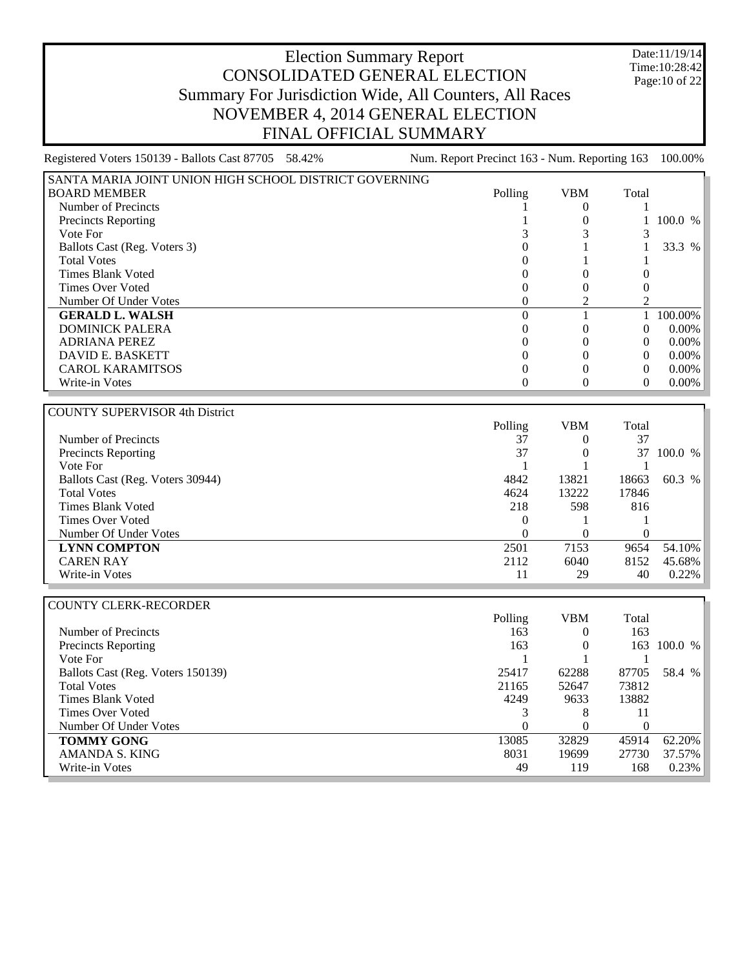Date:11/19/14 Time:10:28:42 Page:10 of 22

| Registered Voters 150139 - Ballots Cast 87705 58.42%   | Num. Report Precinct 163 - Num. Reporting 163 |                  |                  | 100.00%     |
|--------------------------------------------------------|-----------------------------------------------|------------------|------------------|-------------|
| SANTA MARIA JOINT UNION HIGH SCHOOL DISTRICT GOVERNING |                                               |                  |                  |             |
| <b>BOARD MEMBER</b>                                    | Polling                                       | <b>VBM</b>       | Total            |             |
| Number of Precincts                                    | 1                                             | $\theta$         | 1                |             |
| Precincts Reporting                                    | 1                                             | $\boldsymbol{0}$ | 1                | 100.0 %     |
| Vote For                                               | 3                                             | 3                | 3                |             |
| Ballots Cast (Reg. Voters 3)                           | $\boldsymbol{0}$                              | 1                | $\mathbf 1$      | 33.3 %      |
| <b>Total Votes</b>                                     | $\overline{0}$                                | 1                | 1                |             |
| <b>Times Blank Voted</b>                               | $\theta$                                      | $\theta$         | $\boldsymbol{0}$ |             |
| <b>Times Over Voted</b>                                | $\overline{0}$                                | $\overline{0}$   | $\boldsymbol{0}$ |             |
| Number Of Under Votes                                  | $\Omega$                                      | $\overline{2}$   | $\overline{c}$   |             |
| <b>GERALD L. WALSH</b>                                 | $\boldsymbol{0}$                              | 1                | 1                | $100.00\%$  |
| <b>DOMINICK PALERA</b>                                 | $\overline{0}$                                | $\overline{0}$   | $\boldsymbol{0}$ | $0.00\%$    |
| <b>ADRIANA PEREZ</b>                                   | $\overline{0}$                                | $\overline{0}$   | $\mathbf{0}$     | $0.00\%$    |
| <b>DAVID E. BASKETT</b>                                | $\overline{0}$                                | $\theta$         | $\mathbf{0}$     | $0.00\%$    |
| <b>CAROL KARAMITSOS</b>                                | $\boldsymbol{0}$                              | $\theta$         | $\boldsymbol{0}$ | $0.00\%$    |
| Write-in Votes                                         | $\boldsymbol{0}$                              | $\boldsymbol{0}$ | $\theta$         | $0.00\%$    |
|                                                        |                                               |                  |                  |             |
| <b>COUNTY SUPERVISOR 4th District</b>                  |                                               |                  |                  |             |
|                                                        | Polling                                       | <b>VBM</b>       | Total            |             |
| Number of Precincts                                    | 37                                            | $\boldsymbol{0}$ | 37               |             |
| <b>Precincts Reporting</b>                             | 37                                            | $\overline{0}$   | 37               | 100.0 %     |
| Vote For                                               | $\mathbf{1}$                                  | $\mathbf{1}$     | 1                |             |
| Ballots Cast (Reg. Voters 30944)                       | 4842                                          | 13821            | 18663            | 60.3 %      |
| <b>Total Votes</b>                                     | 4624                                          | 13222            | 17846            |             |
| <b>Times Blank Voted</b>                               | 218                                           | 598              | 816              |             |
| <b>Times Over Voted</b>                                | $\boldsymbol{0}$                              | 1                | 1                |             |
| Number Of Under Votes                                  | $\overline{0}$                                | $\theta$         | $\mathbf{0}$     |             |
| <b>LYNN COMPTON</b>                                    | 2501                                          | 7153             | 9654             | 54.10%      |
| <b>CAREN RAY</b>                                       | 2112                                          | 6040             | 8152             | 45.68%      |
| Write-in Votes                                         | 11                                            | 29               | 40               | 0.22%       |
|                                                        |                                               |                  |                  |             |
| <b>COUNTY CLERK-RECORDER</b>                           |                                               |                  |                  |             |
|                                                        | Polling                                       | <b>VBM</b>       | Total            |             |
| Number of Precincts                                    | 163                                           | $\overline{0}$   | 163              |             |
| <b>Precincts Reporting</b>                             | 163                                           | $\boldsymbol{0}$ |                  | 163 100.0 % |
| Vote For                                               | 1                                             | 1                | 1                |             |
| Ballots Cast (Reg. Voters 150139)                      | 25417                                         | 62288            | 87705            | 58.4 %      |
| <b>Total Votes</b>                                     | 21165                                         | 52647            | 73812            |             |
| <b>Times Blank Voted</b>                               | 4249                                          | 9633             | 13882            |             |
| <b>Times Over Voted</b>                                | 3                                             | 8                | 11               |             |
| Number Of Under Votes                                  | $\boldsymbol{0}$                              | $\overline{0}$   | $\mathbf{0}$     |             |
| <b>TOMMY GONG</b>                                      | 13085                                         | 32829            | 45914            | 62.20%      |
| AMANDA S. KING                                         | 8031                                          | 19699            | 27730            | 37.57%      |
| Write-in Votes                                         | 49                                            | 119              | 168              | 0.23%       |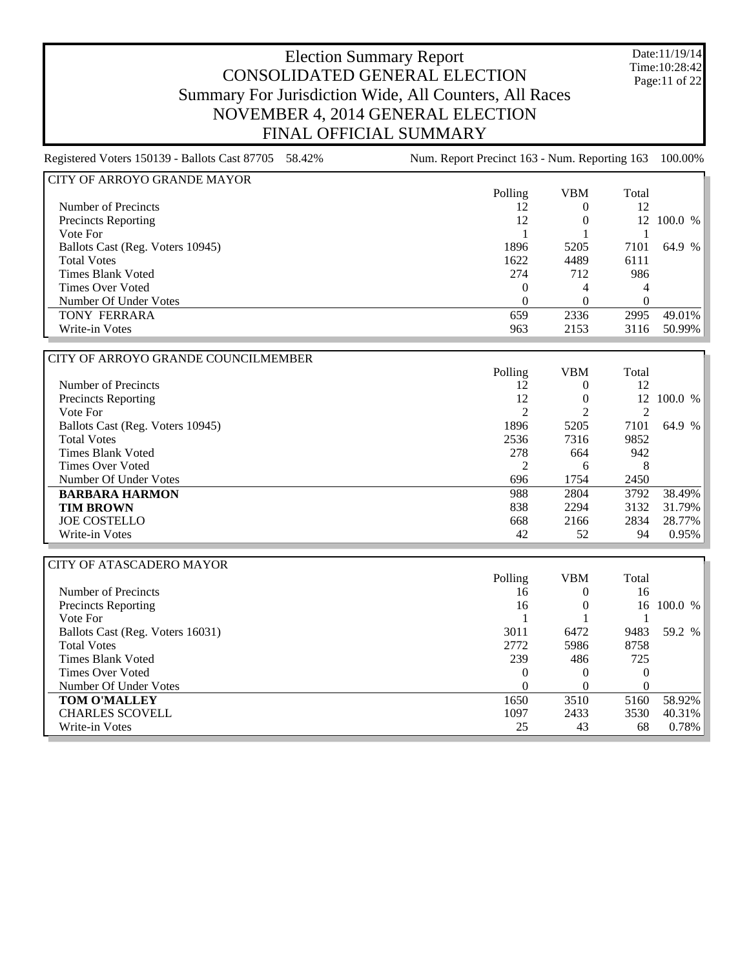Date:11/19/14 Time:10:28:42 Page:11 of 22

| Registered Voters 150139 - Ballots Cast 87705 58.42% | Num. Report Precinct 163 - Num. Reporting 163 |            |       | 100.00% |
|------------------------------------------------------|-----------------------------------------------|------------|-------|---------|
| CITY OF ARROYO GRANDE MAYOR                          |                                               |            |       |         |
|                                                      | Polling                                       | <b>VBM</b> | Total |         |
| Number of Precincts                                  | 12                                            | $\Omega$   | 12    |         |
| Precincts Reporting                                  | 12                                            |            | 12    | 100.0 % |
| Vote For                                             |                                               |            |       |         |
| Ballots Cast (Reg. Voters 10945)                     | 1896                                          | 5205       | 7101  | 64.9 %  |
| <b>Total Votes</b>                                   | 1622                                          | 4489       | 6111  |         |
| Times Blank Voted                                    | 274                                           | 712        | 986   |         |
| <b>Times Over Voted</b>                              | 0                                             | 4          | 4     |         |
| Number Of Under Votes                                | 0                                             |            | 0     |         |
| <b>TONY FERRARA</b>                                  | 659                                           | 2336       | 2995  | 49.01%  |
| Write-in Votes                                       | 963                                           | 2153       | 3116  | 50.99%  |
|                                                      |                                               |            |       |         |
| CITY OF ARROYO GRANDE COUNCILMEMBER                  |                                               |            |       |         |

|                                  | Polling | VBM      | Total |            |
|----------------------------------|---------|----------|-------|------------|
| Number of Precincts              | 12      | $\theta$ | 12    |            |
| <b>Precincts Reporting</b>       | 12      | $\theta$ |       | 12 100.0 % |
| Vote For                         | ↑       | ◠        |       |            |
| Ballots Cast (Reg. Voters 10945) | 1896    | 5205     | 7101  | 64.9 %     |
| <b>Total Votes</b>               | 2536    | 7316     | 9852  |            |
| Times Blank Voted                | 278     | 664      | 942   |            |
| Times Over Voted                 |         | 6        | 8     |            |
| Number Of Under Votes            | 696     | 1754     | 2450  |            |
| <b>BARBARA HARMON</b>            | 988     | 2804     | 3792  | 38.49%     |
| <b>TIM BROWN</b>                 | 838     | 2294     | 3132  | 31.79%     |
| <b>JOE COSTELLO</b>              | 668     | 2166     | 2834  | 28.77%     |
| Write-in Votes                   | 42      | 52       | 94    | 0.95%      |

| <b>CITY OF ATASCADERO MAYOR</b>  |          |            |          |         |
|----------------------------------|----------|------------|----------|---------|
|                                  | Polling  | <b>VBM</b> | Total    |         |
| Number of Precincts              | 16       | O          | 16       |         |
| <b>Precincts Reporting</b>       | 16       |            | 16       | 100.0 % |
| Vote For                         |          |            |          |         |
| Ballots Cast (Reg. Voters 16031) | 3011     | 6472       | 9483     | 59.2 %  |
| <b>Total Votes</b>               | 2772     | 5986       | 8758     |         |
| Times Blank Voted                | 239      | 486        | 725      |         |
| Times Over Voted                 | $\theta$ | $\theta$   | $\theta$ |         |
| Number Of Under Votes            | 0        |            | 0        |         |
| <b>TOM O'MALLEY</b>              | 1650     | 3510       | 5160     | 58.92%  |
| <b>CHARLES SCOVELL</b>           | 1097     | 2433       | 3530     | 40.31%  |
| Write-in Votes                   | 25       | 43         | 68       | 0.78%   |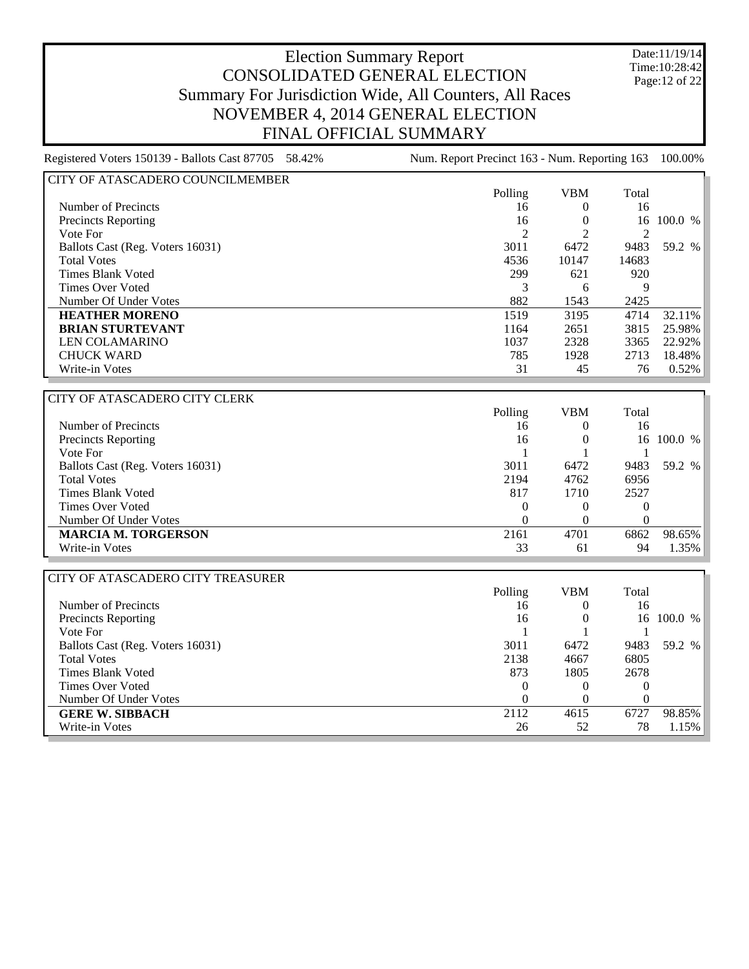Date:11/19/14 Time:10:28:42 Page:12 of 22

| Registered Voters 150139 - Ballots Cast 87705 58.42%                                   | Num. Report Precinct 163 - Num. Reporting 163 |            |                | 100.00% |  |
|----------------------------------------------------------------------------------------|-----------------------------------------------|------------|----------------|---------|--|
| CITY OF ATASCADERO COUNCILMEMBER                                                       |                                               |            |                |         |  |
|                                                                                        | Polling                                       | <b>VBM</b> | Total          |         |  |
| Number of Precincts                                                                    | 16                                            | $\theta$   | 16             |         |  |
| <b>Precincts Reporting</b>                                                             | 16                                            |            | 16             | 100.0 % |  |
| Vote For                                                                               | $\overline{c}$                                |            | 2              |         |  |
| Ballots Cast (Reg. Voters 16031)                                                       | 3011                                          | 6472       | 9483           | 59.2 %  |  |
| <b>Total Votes</b>                                                                     | 4536                                          | 10147      | 14683          |         |  |
| Times Blank Voted                                                                      | 299                                           | 621        | 920            |         |  |
| Times Over Voted                                                                       | 3                                             | 6          | 9              |         |  |
| Number Of Under Votes                                                                  | 882                                           | 1543       | 2425           |         |  |
| <b>HEATHER MORENO</b>                                                                  | 1519                                          | 3195       | 4714           | 32.11%  |  |
| <b>BRIAN STURTEVANT</b>                                                                | 1164                                          | 2651       | 3815           | 25.98%  |  |
| <b>LEN COLAMARINO</b>                                                                  | 1037                                          | 2328       | 3365           | 22.92%  |  |
| <b>CHUCK WARD</b>                                                                      | 785                                           | 1928       | 2713           | 18.48%  |  |
| Write-in Votes                                                                         | 31                                            | 45         | 76             | 0.52%   |  |
|                                                                                        |                                               |            |                |         |  |
| l CITY OF ATASCADERO CITY CLERK                                                        |                                               |            |                |         |  |
|                                                                                        | Polling                                       | VBM        | Total          |         |  |
| $\mathbf{M}_{\text{total}}$ $\mathbf{L}_{\text{total}}$ of $\mathbf{D}_{\text{total}}$ | $\sim$                                        | $\Omega$   | 1 <sup>2</sup> |         |  |

| Number of Precincts              | 16   |      | 16   |            |
|----------------------------------|------|------|------|------------|
| <b>Precincts Reporting</b>       | 16   |      |      | 16 100.0 % |
| Vote For                         |      |      |      |            |
| Ballots Cast (Reg. Voters 16031) | 3011 | 6472 | 9483 | 59.2 %     |
| <b>Total Votes</b>               | 2194 | 4762 | 6956 |            |
| Times Blank Voted                | 817  | 1710 | 2527 |            |
| Times Over Voted                 | 0    |      |      |            |
| Number Of Under Votes            |      |      |      |            |
| <b>MARCIA M. TORGERSON</b>       | 2161 | 4701 | 6862 | $98.65\%$  |
| Write-in Votes                   | 33   | 61   | 94   | $1.35\%$   |

| CITY OF ATASCADERO CITY TREASURER |         |            |       |         |
|-----------------------------------|---------|------------|-------|---------|
|                                   | Polling | <b>VBM</b> | Total |         |
| Number of Precincts               | 16      |            | 16    |         |
| Precincts Reporting               | 16      |            | 16    | 100.0 % |
| Vote For                          |         |            |       |         |
| Ballots Cast (Reg. Voters 16031)  | 3011    | 6472       | 9483  | 59.2 %  |
| <b>Total Votes</b>                | 2138    | 4667       | 6805  |         |
| Times Blank Voted                 | 873     | 1805       | 2678  |         |
| Times Over Voted                  |         |            | 0     |         |
| Number Of Under Votes             |         |            | 0     |         |
| <b>GERE W. SIBBACH</b>            | 2112    | 4615       | 6727  | 98.85%  |
| Write-in Votes                    | 26      | 52         | 78    | 1.15%   |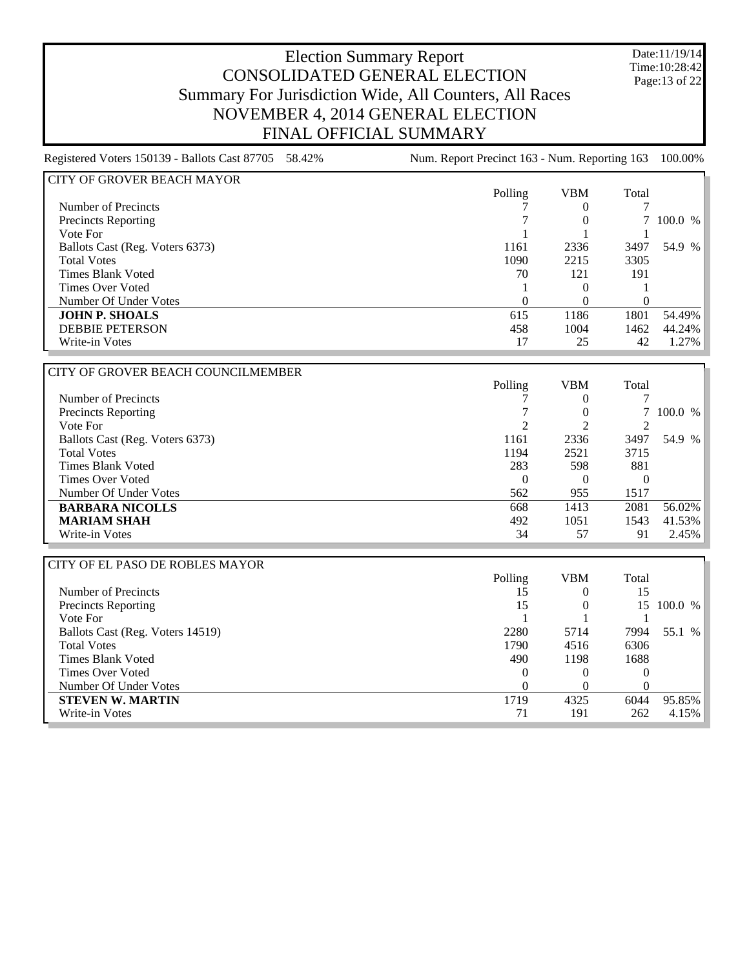Date:11/19/14 Time:10:28:42 Page:13 of 22

| Registered Voters 150139 - Ballots Cast 87705 58.42% | Num. Report Precinct 163 - Num. Reporting 163 100.00% |  |
|------------------------------------------------------|-------------------------------------------------------|--|

| CITY OF GROVER BEACH MAYOR      |          |      |          |          |
|---------------------------------|----------|------|----------|----------|
|                                 | Polling  | VBM  | Total    |          |
| Number of Precincts             |          |      |          |          |
| <b>Precincts Reporting</b>      |          |      |          | 100.0 %  |
| Vote For                        |          |      |          |          |
| Ballots Cast (Reg. Voters 6373) | 1161     | 2336 | 3497     | 54.9 %   |
| <b>Total Votes</b>              | 1090     | 2215 | 3305     |          |
| Times Blank Voted               | 70       | 121  | 191      |          |
| <b>Times Over Voted</b>         |          |      |          |          |
| Number Of Under Votes           | $\theta$ |      | $\theta$ |          |
| <b>JOHN P. SHOALS</b>           | 615      | 1186 | 1801     | 54.49%   |
| <b>DEBBIE PETERSON</b>          | 458      | 1004 | 1462     | 44.24%   |
| Write-in Votes                  | 17       | 25   | 42       | $1.27\%$ |

| CITY OF GROVER BEACH COUNCILMEMBER |         |            |          |           |
|------------------------------------|---------|------------|----------|-----------|
|                                    | Polling | <b>VBM</b> | Total    |           |
| Number of Precincts                |         | $\theta$   |          |           |
| <b>Precincts Reporting</b>         |         |            |          | 7 100.0 % |
| Vote For                           | ↑       |            |          |           |
| Ballots Cast (Reg. Voters 6373)    | 1161    | 2336       | 3497     | 54.9 %    |
| <b>Total Votes</b>                 | 1194    | 2521       | 3715     |           |
| Times Blank Voted                  | 283     | 598        | 881      |           |
| Times Over Voted                   | 0       | $\theta$   | $\theta$ |           |
| Number Of Under Votes              | 562     | 955        | 1517     |           |
| <b>BARBARA NICOLLS</b>             | 668     | 1413       | 2081     | 56.02%    |
| <b>MARIAM SHAH</b>                 | 492     | 1051       | 1543     | 41.53%    |
| Write-in Votes                     | 34      | 57         | 91       | 2.45%     |

| CITY OF EL PASO DE ROBLES MAYOR  |         |            |       |              |
|----------------------------------|---------|------------|-------|--------------|
|                                  | Polling | <b>VBM</b> | Total |              |
| Number of Precincts              | 15      |            | 15    |              |
| <b>Precincts Reporting</b>       | 15      |            | 15.   | 100.0 %      |
| Vote For                         |         |            |       |              |
| Ballots Cast (Reg. Voters 14519) | 2280    | 5714       | 7994  | 55.1<br>$\%$ |
| <b>Total Votes</b>               | 1790    | 4516       | 6306  |              |
| Times Blank Voted                | 490     | 1198       | 1688  |              |
| <b>Times Over Voted</b>          | 0       |            |       |              |
| Number Of Under Votes            |         |            |       |              |
| <b>STEVEN W. MARTIN</b>          | 1719    | 4325       | 6044  | 95.85%       |
| Write-in Votes                   | 71      | 191        | 262   | 4.15%        |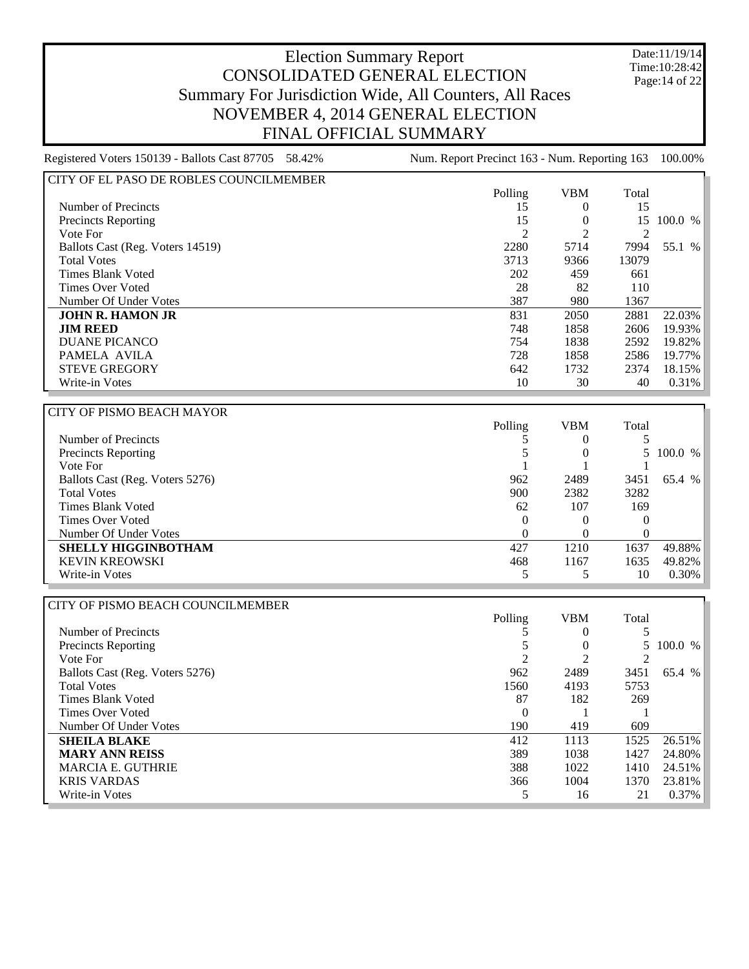Date:11/19/14 Time:10:28:42 Page:14 of 22

| CITY OF EL PASO DE ROBLES COUNCILMEMBER |                |            |       |           |
|-----------------------------------------|----------------|------------|-------|-----------|
|                                         | Polling        | <b>VBM</b> | Total |           |
| Number of Precincts                     | 15             | $\Omega$   | 15    |           |
| <b>Precincts Reporting</b>              | 15             | $^{(1)}$   | 15    | 100.0%    |
| Vote For                                | $\overline{c}$ |            |       |           |
| Ballots Cast (Reg. Voters 14519)        | 2280           | 5714       | 7994  | 55.1<br>% |
| <b>Total Votes</b>                      | 3713           | 9366       | 13079 |           |
| Times Blank Voted                       | 202            | 459        | 661   |           |
| <b>Times Over Voted</b>                 | 28             | 82         | 110   |           |
| Number Of Under Votes                   | 387            | 980        | 1367  |           |
| <b>JOHN R. HAMON JR</b>                 | 831            | 2050       | 2881  | $22.03\%$ |
| <b>JIM REED</b>                         | 748            | 1858       | 2606  | 19.93%    |
| DUANE PICANCO                           | 754            | 1838       | 2592  | 19.82%    |
| PAMELA AVILA                            | 728            | 1858       | 2586  | 19.77%    |
| <b>STEVE GREGORY</b>                    | 642            | 1732       | 2374  | $18.15\%$ |
| Write-in Votes                          | 10             | 30         | 40    | $0.31\%$  |

| CITY OF PISMO BEACH MAYOR       |          |            |          |          |
|---------------------------------|----------|------------|----------|----------|
|                                 | Polling  | <b>VBM</b> | Total    |          |
| Number of Precincts             |          |            |          |          |
| Precincts Reporting             |          |            |          | 100.0 %  |
| Vote For                        |          |            |          |          |
| Ballots Cast (Reg. Voters 5276) | 962      | 2489       | 3451     | 65.4 %   |
| <b>Total Votes</b>              | 900      | 2382       | 3282     |          |
| Times Blank Voted               | 62       | 107        | 169      |          |
| Times Over Voted                | $\Omega$ |            |          |          |
| Number Of Under Votes           | $\theta$ |            | $\theta$ |          |
| <b>SHELLY HIGGINBOTHAM</b>      | 427      | 1210       | 1637     | 49.88%   |
| <b>KEVIN KREOWSKI</b>           | 468      | 1167       | 1635     | 49.82%   |
| Write-in Votes                  |          |            | 10       | $0.30\%$ |

| CITY OF PISMO BEACH COUNCILMEMBER |         |            |       |           |
|-----------------------------------|---------|------------|-------|-----------|
|                                   | Polling | <b>VBM</b> | Total |           |
| Number of Precincts               |         | $\theta$   |       |           |
| Precincts Reporting               |         |            |       | 5 100.0 % |
| Vote For                          |         |            |       |           |
| Ballots Cast (Reg. Voters 5276)   | 962     | 2489       | 3451  | 65.4 %    |
| <b>Total Votes</b>                | 1560    | 4193       | 5753  |           |
| Times Blank Voted                 | 87      | 182        | 269   |           |
| Times Over Voted                  | 0       |            |       |           |
| Number Of Under Votes             | 190     | 419        | 609   |           |
| <b>SHEILA BLAKE</b>               | 412     | 1113       | 1525  | 26.51%    |
| <b>MARY ANN REISS</b>             | 389     | 1038       | 1427  | 24.80%    |
| <b>MARCIA E. GUTHRIE</b>          | 388     | 1022       | 1410  | 24.51%    |
| <b>KRIS VARDAS</b>                | 366     | 1004       | 1370  | 23.81%    |
| Write-in Votes                    |         | 16         | 21    | 0.37%     |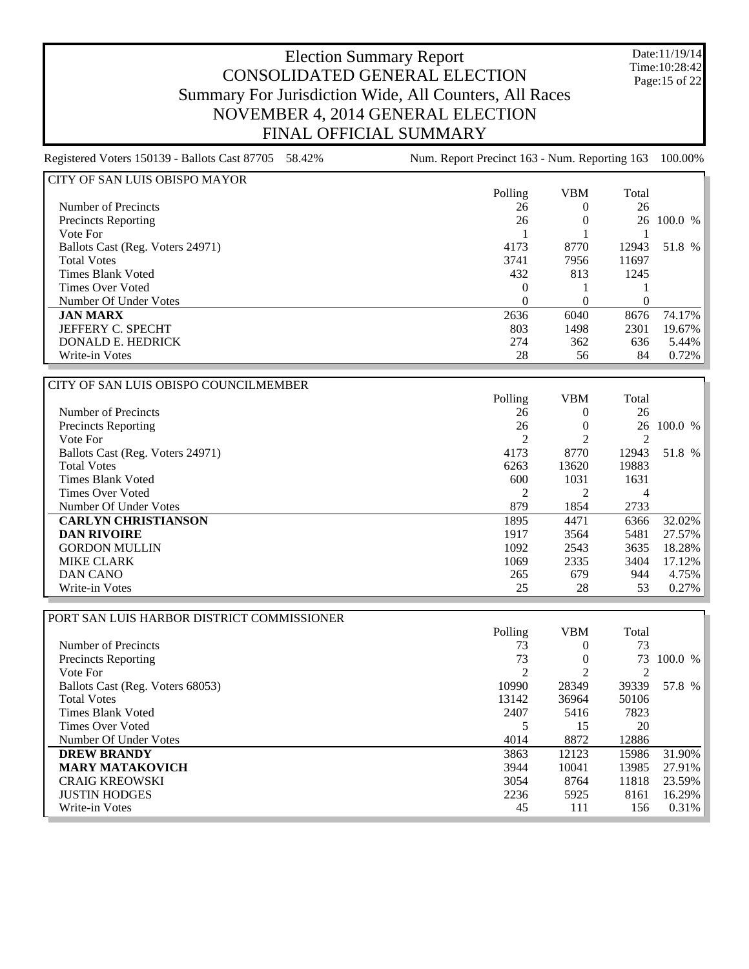Date:11/19/14 Time:10:28:42 Page:15 of 22

| CITY OF SAN LUIS OBISPO MAYOR    |         |            |          |            |
|----------------------------------|---------|------------|----------|------------|
|                                  | Polling | <b>VBM</b> | Total    |            |
| Number of Precincts              | 26      |            | 26       |            |
| <b>Precincts Reporting</b>       | 26      |            |          | 26 100.0 % |
| Vote For                         |         |            |          |            |
| Ballots Cast (Reg. Voters 24971) | 4173    | 8770       | 12943    | 51.8 %     |
| <b>Total Votes</b>               | 3741    | 7956       | 11697    |            |
| Times Blank Voted                | 432     | 813        | 1245     |            |
| <b>Times Over Voted</b>          | 0       |            |          |            |
| Number Of Under Votes            | 0       | 0          | $\Omega$ |            |
| <b>JAN MARX</b>                  | 2636    | 6040       | 8676     | 74.17%     |
| <b>JEFFERY C. SPECHT</b>         | 803     | 1498       | 2301     | 19.67%     |
| DONALD E. HEDRICK                | 274     | 362        | 636      | $5.44\%$   |
| Write-in Votes                   | 28      | 56         | 84       | $0.72\%$   |

| CITY OF SAN LUIS OBISPO COUNCILMEMBER |                |            |       |           |
|---------------------------------------|----------------|------------|-------|-----------|
|                                       | Polling        | <b>VBM</b> | Total |           |
| Number of Precincts                   | 26             |            | 26    |           |
| <b>Precincts Reporting</b>            | 26             | $\theta$   | 26    | 100.0 %   |
| Vote For                              | $\mathfrak{D}$ |            |       |           |
| Ballots Cast (Reg. Voters 24971)      | 4173           | 8770       | 12943 | 51.8 %    |
| <b>Total Votes</b>                    | 6263           | 13620      | 19883 |           |
| Times Blank Voted                     | 600            | 1031       | 1631  |           |
| Times Over Voted                      | 2              |            | 4     |           |
| Number Of Under Votes                 | 879            | 1854       | 2733  |           |
| <b>CARLYN CHRISTIANSON</b>            | 1895           | 4471       | 6366  | $32.02\%$ |
| <b>DAN RIVOIRE</b>                    | 1917           | 3564       | 5481  | 27.57%    |
| <b>GORDON MULLIN</b>                  | 1092           | 2543       | 3635  | 18.28%    |
| <b>MIKE CLARK</b>                     | 1069           | 2335       | 3404  | $17.12\%$ |
| DAN CANO                              | 265            | 679        | 944   | $4.75\%$  |
| Write-in Votes                        | 25             | 28         | 53    | $0.27\%$  |

| PORT SAN LUIS HARBOR DISTRICT COMMISSIONER |         |            |       |         |
|--------------------------------------------|---------|------------|-------|---------|
|                                            | Polling | <b>VBM</b> | Total |         |
| Number of Precincts                        | 73      | $\theta$   | 73    |         |
| <b>Precincts Reporting</b>                 | 73      |            | 73    | 100.0 % |
| Vote For                                   | 2       |            |       |         |
| Ballots Cast (Reg. Voters 68053)           | 10990   | 28349      | 39339 | 57.8 %  |
| <b>Total Votes</b>                         | 13142   | 36964      | 50106 |         |
| Times Blank Voted                          | 2407    | 5416       | 7823  |         |
| Times Over Voted                           |         | 15         | 20    |         |
| Number Of Under Votes                      | 4014    | 8872       | 12886 |         |
| <b>DREW BRANDY</b>                         | 3863    | 12123      | 15986 | 31.90%  |
| <b>MARY MATAKOVICH</b>                     | 3944    | 10041      | 13985 | 27.91%  |
| <b>CRAIG KREOWSKI</b>                      | 3054    | 8764       | 11818 | 23.59%  |
| <b>JUSTIN HODGES</b>                       | 2236    | 5925       | 8161  | 16.29%  |
| Write-in Votes                             | 45      | 111        | 156   | 0.31%   |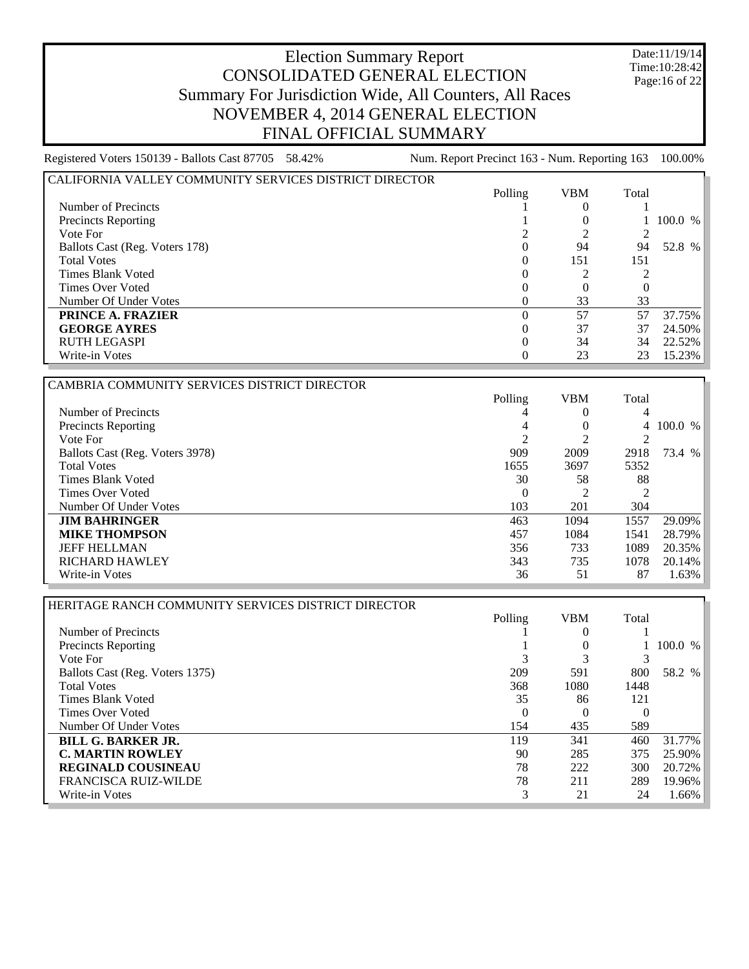Date:11/19/14 Time:10:28:42 Page:16 of 22

| CALIFORNIA VALLEY COMMUNITY SERVICES DISTRICT DIRECTOR |         |            |       |           |
|--------------------------------------------------------|---------|------------|-------|-----------|
|                                                        | Polling | <b>VBM</b> | Total |           |
| Number of Precincts                                    |         |            |       |           |
| Precincts Reporting                                    |         |            |       | 100.0 %   |
| Vote For                                               |         |            |       |           |
| <b>Ballots Cast (Reg. Voters 178)</b>                  |         | 94         | 94    | 52.8 %    |
| <b>Total Votes</b>                                     |         | 151        | 151   |           |
| Times Blank Voted                                      |         |            |       |           |
| Times Over Voted                                       |         |            |       |           |
| Number Of Under Votes                                  |         | 33         | 33    |           |
| <b>PRINCE A. FRAZIER</b>                               |         | 57         | 57    | 37.75%    |
| <b>GEORGE AYRES</b>                                    |         | 37         | 37    | 24.50%    |
| <b>RUTH LEGASPI</b>                                    |         | 34         | 34    | $22.52\%$ |
| Write-in Votes                                         |         | 23         | 23    | 15.23%    |

| CAMBRIA COMMUNITY SERVICES DISTRICT DIRECTOR |                |            |                |           |
|----------------------------------------------|----------------|------------|----------------|-----------|
|                                              | Polling        | <b>VBM</b> | Total          |           |
| Number of Precincts                          |                | $\Omega$   | 4              |           |
| Precincts Reporting                          | 4              |            |                | 4 100.0 % |
| Vote For                                     | $\overline{c}$ |            | 2              |           |
| Ballots Cast (Reg. Voters 3978)              | 909            | 2009       | 2918           | 73.4 %    |
| <b>Total Votes</b>                           | 1655           | 3697       | 5352           |           |
| Times Blank Voted                            | 30             | 58         | 88             |           |
| Times Over Voted                             | $\Omega$       |            | $\mathfrak{D}$ |           |
| Number Of Under Votes                        | 103            | 201        | 304            |           |
| <b>JIM BAHRINGER</b>                         | 463            | 1094       | 1557           | 29.09%    |
| <b>MIKE THOMPSON</b>                         | 457            | 1084       | 1541           | 28.79%    |
| <b>JEFF HELLMAN</b>                          | 356            | 733        | 1089           | 20.35%    |
| <b>RICHARD HAWLEY</b>                        | 343            | 735        | 1078           | 20.14%    |
| Write-in Votes                               | 36             | 51         | 87             | 1.63%     |

| HERITAGE RANCH COMMUNITY SERVICES DISTRICT DIRECTOR |         |            |       |         |
|-----------------------------------------------------|---------|------------|-------|---------|
|                                                     | Polling | <b>VBM</b> | Total |         |
| Number of Precincts                                 |         |            |       |         |
| <b>Precincts Reporting</b>                          |         |            |       | 100.0 % |
| Vote For                                            |         |            |       |         |
| Ballots Cast (Reg. Voters 1375)                     | 209     | 591        | 800   | 58.2 %  |
| <b>Total Votes</b>                                  | 368     | 1080       | 1448  |         |
| Times Blank Voted                                   | 35      | 86         | 121   |         |
| Times Over Voted                                    | 0       |            |       |         |
| Number Of Under Votes                               | 154     | 435        | 589   |         |
| <b>BILL G. BARKER JR.</b>                           | 119     | 341        | 460   | 31.77%  |
| <b>C. MARTIN ROWLEY</b>                             | 90      | 285        | 375   | 25.90%  |
| <b>REGINALD COUSINEAU</b>                           | 78      | 222        | 300   | 20.72%  |
| <b>FRANCISCA RUIZ-WILDE</b>                         | 78      | 211        | 289   | 19.96%  |
| Write-in Votes                                      | 3       | 21         | 24    | 1.66%   |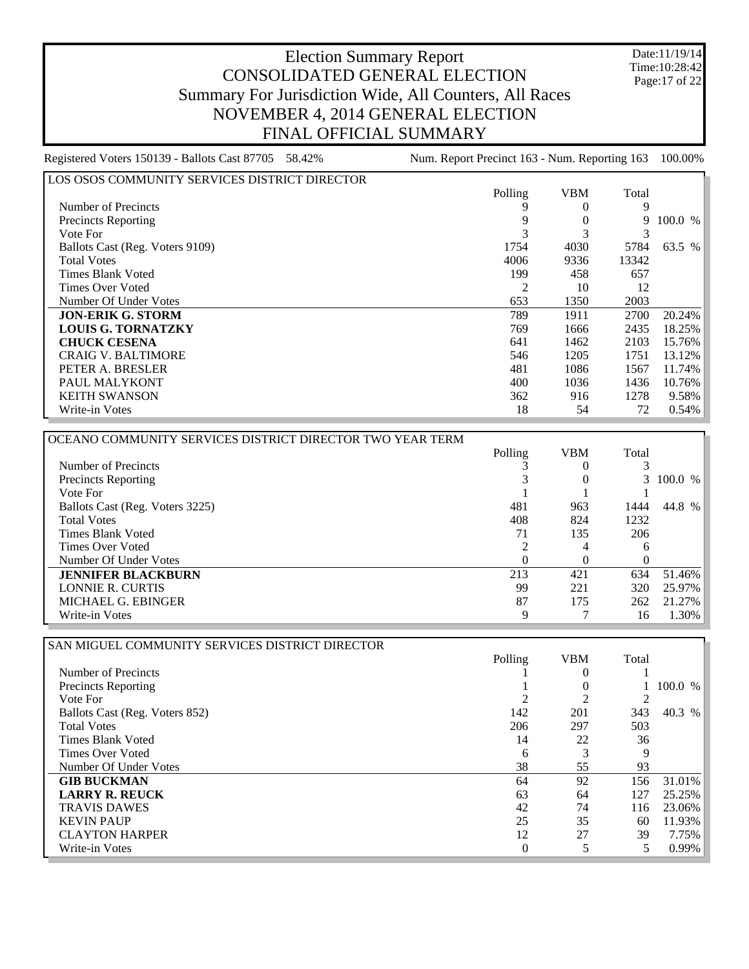Date:11/19/14 Time:10:28:42 Page:17 of 22

| LOS OSOS COMMUNITY SERVICES DISTRICT DIRECTOR |         |            |       |           |
|-----------------------------------------------|---------|------------|-------|-----------|
|                                               | Polling | <b>VBM</b> | Total |           |
| Number of Precincts                           |         |            | 9     |           |
| <b>Precincts Reporting</b>                    |         |            | 9     | 100.0 %   |
| Vote For                                      |         |            |       |           |
| Ballots Cast (Reg. Voters 9109)               | 1754    | 4030       | 5784  | 63.5 %    |
| <b>Total Votes</b>                            | 4006    | 9336       | 13342 |           |
| Times Blank Voted                             | 199     | 458        | 657   |           |
| Times Over Voted                              | 2       | 10         | 12    |           |
| Number Of Under Votes                         | 653     | 1350       | 2003  |           |
| <b>JON-ERIK G. STORM</b>                      | 789     | 1911       | 2700  | 20.24%    |
| <b>LOUIS G. TORNATZKY</b>                     | 769     | 1666       | 2435  | $18.25\%$ |
| <b>CHUCK CESENA</b>                           | 641     | 1462       | 2103  | 15.76%    |
| <b>CRAIG V. BALTIMORE</b>                     | 546     | 1205       | 1751  | 13.12%    |
| PETER A. BRESLER                              | 481     | 1086       | 1567  | 11.74%    |
| PAUL MALYKONT                                 | 400     | 1036       | 1436  | 10.76%    |
| <b>KEITH SWANSON</b>                          | 362     | 916        | 1278  | $9.58\%$  |
| Write-in Votes                                | 18      | 54         | 72    | $0.54\%$  |

| OCEANO COMMUNITY SERVICES DISTRICT DIRECTOR TWO YEAR TERM |         |            |          |           |
|-----------------------------------------------------------|---------|------------|----------|-----------|
|                                                           | Polling | <b>VBM</b> | Total    |           |
| Number of Precincts                                       |         |            |          |           |
| <b>Precincts Reporting</b>                                |         |            |          | 3 100.0 % |
| Vote For                                                  |         |            |          |           |
| Ballots Cast (Reg. Voters 3225)                           | 481     | 963        | 1444     | 44.8 %    |
| <b>Total Votes</b>                                        | 408     | 824        | 1232     |           |
| Times Blank Voted                                         |         | 135        | 206      |           |
| Times Over Voted                                          |         | 4          | 6        |           |
| Number Of Under Votes                                     | 0       |            | $\Omega$ |           |
| <b>JENNIFER BLACKBURN</b>                                 | 213     | 421        | 634      | 51.46%    |
| LONNIE R. CURTIS                                          | 99      | 221        | 320      | 25.97%    |
| MICHAEL G. EBINGER                                        | 87      | 175        | 262      | 21.27%    |
| Write-in Votes                                            | 9       |            | 16       | 1.30%     |

| Polling  | <b>VBM</b>     | Total |         |
|----------|----------------|-------|---------|
|          |                |       |         |
|          | 0              |       | 100.0 % |
| 2        | $\overline{c}$ |       |         |
| 142      | 201            | 343   | 40.3 %  |
| 206      | 297            | 503   |         |
| 14       | 22             | 36    |         |
| 6        | 3              | 9     |         |
| 38       | 55             | 93    |         |
| 64       | 92             | 156   | 31.01%  |
| 63       | 64             | 127   | 25.25%  |
| 42       | 74             | 116   | 23.06%  |
| 25       | 35             | 60    | 11.93%  |
| 12       | 27             | 39    | 7.75%   |
| $\Omega$ |                | 5     | 0.99%   |
|          |                |       |         |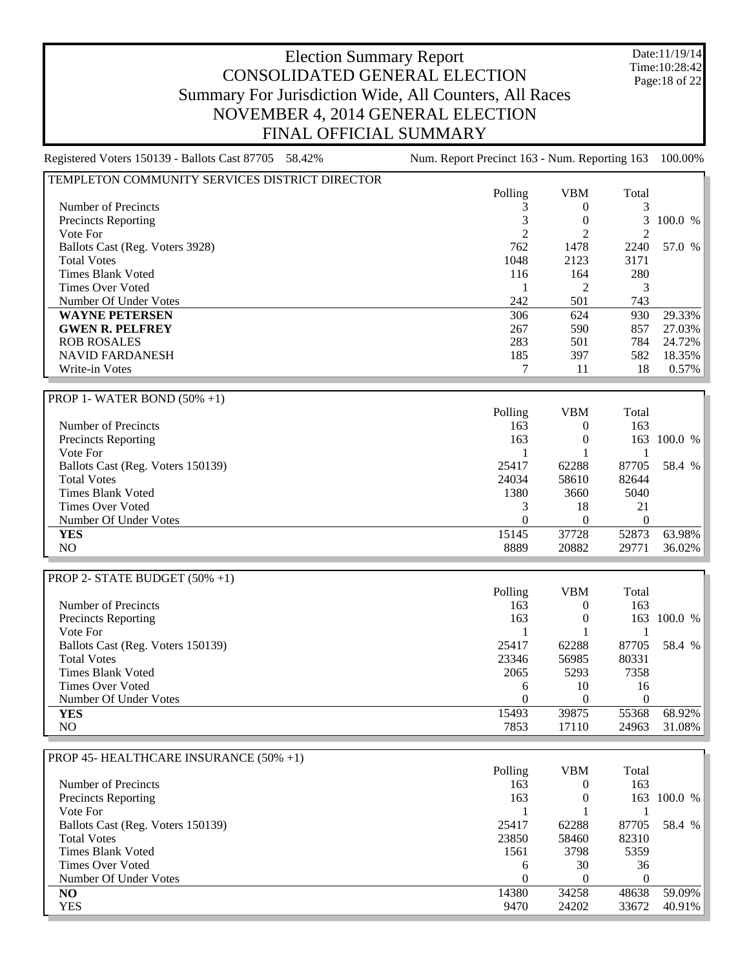Date:11/19/14 Time:10:28:42 Page:18 of 22

| Registered Voters 150139 - Ballots Cast 87705 58.42% | Num. Report Precinct 163 - Num. Reporting 163 |                  |                  | 100.00%     |
|------------------------------------------------------|-----------------------------------------------|------------------|------------------|-------------|
| TEMPLETON COMMUNITY SERVICES DISTRICT DIRECTOR       |                                               |                  |                  |             |
|                                                      | Polling                                       | <b>VBM</b>       | Total            |             |
| Number of Precincts                                  | 3                                             | 0                | 3                |             |
| <b>Precincts Reporting</b>                           | 3                                             | $\boldsymbol{0}$ | 3                | 100.0 %     |
| Vote For                                             | 2                                             | $\overline{2}$   | 2                |             |
| Ballots Cast (Reg. Voters 3928)                      | 762                                           | 1478             | 2240             | 57.0 %      |
| <b>Total Votes</b>                                   | 1048                                          | 2123             | 3171             |             |
| <b>Times Blank Voted</b>                             | 116                                           | 164              | 280              |             |
| <b>Times Over Voted</b>                              | 1                                             | $\overline{2}$   | 3                |             |
| Number Of Under Votes                                | 242                                           | 501              | 743              |             |
| <b>WAYNE PETERSEN</b>                                | 306                                           | 624              | 930              | 29.33%      |
| <b>GWEN R. PELFREY</b>                               | 267                                           | 590              | 857              | 27.03%      |
| <b>ROB ROSALES</b>                                   | 283                                           | 501              | 784              | 24.72%      |
| <b>NAVID FARDANESH</b>                               | 185                                           | 397              | 582              | 18.35%      |
| Write-in Votes                                       | 7                                             | 11               | 18               | 0.57%       |
|                                                      |                                               |                  |                  |             |
| <b>PROP 1- WATER BOND (50% +1)</b>                   |                                               |                  |                  |             |
|                                                      | Polling                                       | <b>VBM</b>       | Total            |             |
| Number of Precincts                                  | 163                                           | $\overline{0}$   | 163              |             |
| Precincts Reporting                                  | 163                                           | 0                |                  | 163 100.0 % |
| Vote For                                             | 1                                             | 1                | 1                |             |
| Ballots Cast (Reg. Voters 150139)                    | 25417                                         | 62288            | 87705            | 58.4 %      |
| <b>Total Votes</b>                                   | 24034                                         | 58610            | 82644            |             |
| <b>Times Blank Voted</b>                             | 1380                                          | 3660             | 5040             |             |
| <b>Times Over Voted</b>                              | 3                                             | 18               | 21               |             |
| Number Of Under Votes                                | 0                                             | $\theta$         | $\Omega$         |             |
| <b>YES</b>                                           | 15145                                         | 37728            | 52873            | 63.98%      |
| NO                                                   | 8889                                          | 20882            | 29771            | 36.02%      |
|                                                      |                                               |                  |                  |             |
| PROP 2- STATE BUDGET (50% +1)                        |                                               |                  |                  |             |
|                                                      | Polling                                       | <b>VBM</b>       | Total            |             |
| Number of Precincts                                  | 163                                           | $\overline{0}$   | 163              |             |
| Precincts Reporting                                  | 163                                           | $\mathbf{0}$     |                  | 163 100.0 % |
| Vote For                                             | 1                                             | 1                | 1                |             |
| Ballots Cast (Reg. Voters 150139)                    | 25417                                         | 62288            | 87705            | 58.4 %      |
| <b>Total Votes</b>                                   | 23346                                         | 56985            | 80331            |             |
| <b>Times Blank Voted</b>                             | 2065                                          | 5293             | 7358             |             |
| Times Over Voted                                     | 6                                             | 10               | 16               |             |
| Number Of Under Votes                                | $\boldsymbol{0}$                              | $\boldsymbol{0}$ | $\boldsymbol{0}$ |             |
| <b>YES</b>                                           | 15493                                         | 39875            | 55368            | 68.92%      |
| N <sub>O</sub>                                       | 7853                                          | 17110            | 24963            | 31.08%      |
|                                                      |                                               |                  |                  |             |
| PROP 45-HEALTHCARE INSURANCE (50% +1)                |                                               |                  |                  |             |
|                                                      | Polling                                       | <b>VBM</b>       | Total            |             |
| Number of Precincts                                  | 163                                           | 0                | 163              |             |
| <b>Precincts Reporting</b>                           | 163                                           | 0                |                  | 163 100.0 % |
|                                                      |                                               |                  |                  |             |

| Number of Precincts               | 102   |       | 103   |             |
|-----------------------------------|-------|-------|-------|-------------|
| <b>Precincts Reporting</b>        | 163   |       |       | 163 100.0 % |
| Vote For                          |       |       |       |             |
| Ballots Cast (Reg. Voters 150139) | 25417 | 62288 | 87705 | 58.4 %      |
| <b>Total Votes</b>                | 23850 | 58460 | 82310 |             |
| Times Blank Voted                 | 1561  | 3798  | 5359  |             |
| Times Over Voted                  | 6     | 30    | 36    |             |
| Number Of Under Votes             |       |       |       |             |
| NO.                               | 14380 | 34258 | 48638 | 59.09%      |
| YES                               | 9470  | 24202 | 33672 | $40.91\%$   |
|                                   |       |       |       |             |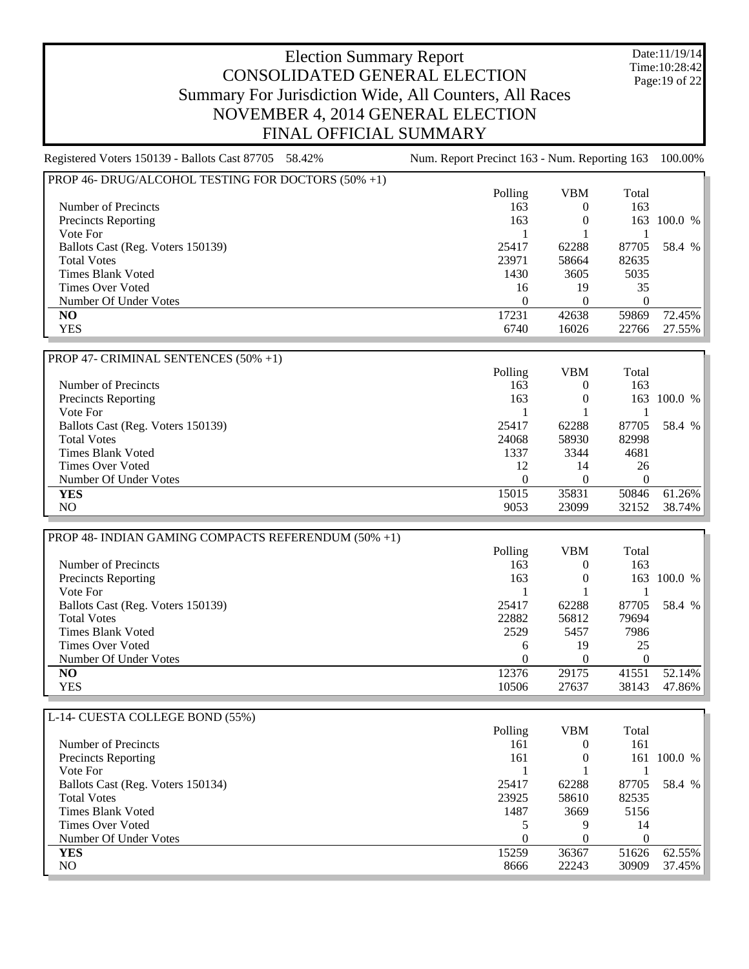Date:11/19/14 Time:10:28:42 Page:19 of 22

| Registered Voters 150139 - Ballots Cast 87705 58.42%                                                                                                                                                                                                                                                                                                                                                   | Num. Report Precinct 163 - Num. Reporting 163 |                |          | 100.00%                          |
|--------------------------------------------------------------------------------------------------------------------------------------------------------------------------------------------------------------------------------------------------------------------------------------------------------------------------------------------------------------------------------------------------------|-----------------------------------------------|----------------|----------|----------------------------------|
| PROP 46- DRUG/ALCOHOL TESTING FOR DOCTORS (50% +1)                                                                                                                                                                                                                                                                                                                                                     |                                               |                |          |                                  |
|                                                                                                                                                                                                                                                                                                                                                                                                        | Polling                                       | <b>VBM</b>     | Total    |                                  |
| Number of Precincts                                                                                                                                                                                                                                                                                                                                                                                    | 163                                           | $\theta$       | 163      |                                  |
| <b>Precincts Reporting</b>                                                                                                                                                                                                                                                                                                                                                                             | 163                                           | $\theta$       | 163      | 100.0 %                          |
| Vote For                                                                                                                                                                                                                                                                                                                                                                                               |                                               |                |          |                                  |
| Ballots Cast (Reg. Voters 150139)                                                                                                                                                                                                                                                                                                                                                                      | 25417                                         | 62288          | 87705    | 58.4 %                           |
| <b>Total Votes</b>                                                                                                                                                                                                                                                                                                                                                                                     | 23971                                         | 58664          | 82635    |                                  |
| <b>Times Blank Voted</b>                                                                                                                                                                                                                                                                                                                                                                               | 1430                                          | 3605           | 5035     |                                  |
| <b>Times Over Voted</b>                                                                                                                                                                                                                                                                                                                                                                                | 16                                            | 19             | 35       |                                  |
| Number Of Under Votes                                                                                                                                                                                                                                                                                                                                                                                  | $\Omega$                                      | $\Omega$       | $\Omega$ |                                  |
| N <sub>O</sub>                                                                                                                                                                                                                                                                                                                                                                                         | 17231                                         | 42638          | 59869    | 72.45%                           |
| <b>YES</b>                                                                                                                                                                                                                                                                                                                                                                                             | 6740                                          | 16026          | 22766    | 27.55%                           |
|                                                                                                                                                                                                                                                                                                                                                                                                        |                                               |                |          |                                  |
| PROP 47- CRIMINAL SENTENCES (50% +1)                                                                                                                                                                                                                                                                                                                                                                   |                                               |                |          |                                  |
|                                                                                                                                                                                                                                                                                                                                                                                                        | Polling                                       | <b>VBM</b>     | Total    |                                  |
| Number of Precincts                                                                                                                                                                                                                                                                                                                                                                                    | 163                                           | $\Omega$       | 163      |                                  |
| <b>Precincts Reporting</b>                                                                                                                                                                                                                                                                                                                                                                             | 163                                           | $\Omega$       | 163      | 100.0 %                          |
| Vote For                                                                                                                                                                                                                                                                                                                                                                                               |                                               |                |          |                                  |
| Ballots Cast (Reg. Voters 150139)                                                                                                                                                                                                                                                                                                                                                                      | 25417                                         | 62288          | 87705    | 58.4 %                           |
| <b>Total Votes</b>                                                                                                                                                                                                                                                                                                                                                                                     | 24068                                         | 58930          | 82998    |                                  |
| <b>Times Blank Voted</b>                                                                                                                                                                                                                                                                                                                                                                               | 1337                                          | 3344           | 4681     |                                  |
| <b>Times Over Voted</b>                                                                                                                                                                                                                                                                                                                                                                                | 12                                            | 14             | 26       |                                  |
| Number Of Under Votes                                                                                                                                                                                                                                                                                                                                                                                  | $\theta$                                      | $\theta$       | $\Omega$ |                                  |
| <b>YES</b>                                                                                                                                                                                                                                                                                                                                                                                             | 15015                                         | 35831          | 50846    | 61.26%                           |
| N <sub>O</sub>                                                                                                                                                                                                                                                                                                                                                                                         | 9053                                          | 23099          | 32152    | 38.74%                           |
|                                                                                                                                                                                                                                                                                                                                                                                                        |                                               |                |          |                                  |
| PROP 48- INDIAN GAMING COMPACTS REFERENDUM (50% +1)                                                                                                                                                                                                                                                                                                                                                    |                                               |                |          |                                  |
|                                                                                                                                                                                                                                                                                                                                                                                                        | Polling                                       | <b>VBM</b>     | Total    |                                  |
| Number of Precincts                                                                                                                                                                                                                                                                                                                                                                                    | 163                                           | $\Omega$       | 163      |                                  |
| <b>Precincts Reporting</b>                                                                                                                                                                                                                                                                                                                                                                             | 163                                           | $\overline{0}$ | 163      | 100.0 %                          |
| Vote For                                                                                                                                                                                                                                                                                                                                                                                               |                                               |                |          |                                  |
| $P_1$ 11 $\alpha$<br>$\sqrt{D}$ $\overline{M}$ $\overline{I}$ $\overline{I}$ $\overline{I}$ $\overline{I}$ $\overline{I}$ $\overline{I}$ $\overline{I}$ $\overline{I}$ $\overline{I}$ $\overline{I}$ $\overline{I}$ $\overline{I}$ $\overline{I}$ $\overline{I}$ $\overline{I}$ $\overline{I}$ $\overline{I}$ $\overline{I}$ $\overline{I}$ $\overline{I}$ $\overline{I}$ $\overline{I}$ $\overline{I$ | 0.7117                                        | $\sim$         | 0.7705   | $\sqrt{2}$ $\sqrt{2}$ $\sqrt{2}$ |

Ballots Cast (Reg. Voters 150139) 25417 62288 87705 58.4 % Total Votes 22882 56812 79694 Times Blank Voted 2529 5457 7986 Times Over Voted 6 19 25 Number Of Under Votes 0 0 0 0 0 0 0 0 0 0 0 0 0 0 0 12376 29175 41551 **NO** 12376 29175 41551 52.14% YES 10506 27637 38143 47.86%

| L-14- CUESTA COLLEGE BOND (55%)   |         |            |       |         |
|-----------------------------------|---------|------------|-------|---------|
|                                   | Polling | <b>VBM</b> | Total |         |
| Number of Precincts               | 161     | 0          | 161   |         |
| <b>Precincts Reporting</b>        | 161     | 0          | 161   | 100.0 % |
| Vote For                          |         |            |       |         |
| Ballots Cast (Reg. Voters 150134) | 25417   | 62288      | 87705 | 58.4 %  |
| <b>Total Votes</b>                | 23925   | 58610      | 82535 |         |
| Times Blank Voted                 | 1487    | 3669       | 5156  |         |
| Times Over Voted                  |         | Q          | 14    |         |
| Number Of Under Votes             |         |            |       |         |
| <b>YES</b>                        | 15259   | 36367      | 51626 | 62.55%  |
| NO.                               | 8666    | 22243      | 30909 | 37.45%  |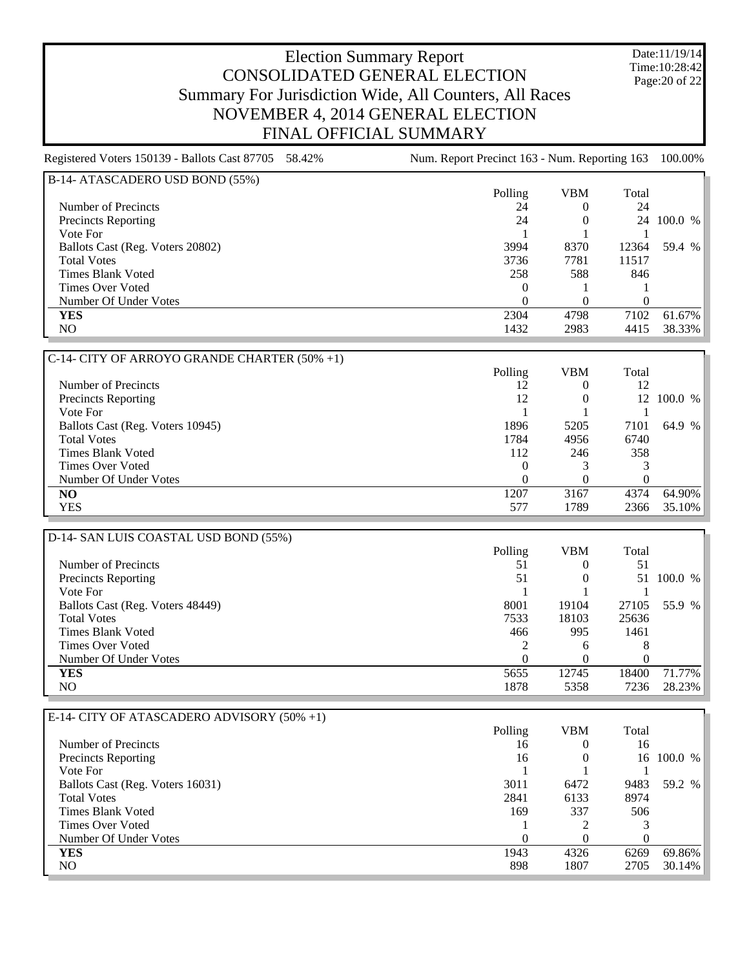Date:11/19/14 Time:10:28:42 Page:20 of 22

| Registered Voters 150139 - Ballots Cast 87705 58.42% | Num. Report Precinct 163 - Num. Reporting 163 |                |                | 100.00%    |
|------------------------------------------------------|-----------------------------------------------|----------------|----------------|------------|
| B-14- ATASCADERO USD BOND (55%)                      |                                               |                |                |            |
|                                                      | Polling                                       | <b>VBM</b>     | Total          |            |
| Number of Precincts                                  | 24                                            | $\Omega$       | 24             |            |
| Precincts Reporting                                  | 24                                            | $\theta$       | 24             | 100.0 %    |
| Vote For                                             |                                               |                |                |            |
| Ballots Cast (Reg. Voters 20802)                     | 3994                                          | 8370           | 12364          | 59.4 %     |
| <b>Total Votes</b>                                   | 3736                                          | 7781           | 11517          |            |
| <b>Times Blank Voted</b>                             | 258                                           | 588            | 846            |            |
| <b>Times Over Voted</b>                              | 0                                             |                |                |            |
| Number Of Under Votes                                | $\theta$                                      | $\theta$       | $\overline{0}$ |            |
| <b>YES</b>                                           | 2304                                          | 4798           | 7102           | 61.67%     |
| NO.                                                  | 1432                                          | 2983           | 4415           | 38.33%     |
|                                                      |                                               |                |                |            |
| C-14- CITY OF ARROYO GRANDE CHARTER (50% +1)         |                                               |                |                |            |
|                                                      | Polling                                       | <b>VBM</b>     | Total          |            |
| Number of Precincts                                  | 12                                            | $\theta$       | 12             |            |
| Precincts Reporting                                  | 12                                            | $\theta$       | 12             | 100.0 %    |
| Vote For                                             |                                               |                |                |            |
| Ballots Cast (Reg. Voters 10945)                     | 1896                                          | 5205           | 7101           | 64.9 %     |
| <b>Total Votes</b>                                   | 1784                                          | 4956           | 6740           |            |
| <b>Times Blank Voted</b>                             | 112                                           | 246            | 358            |            |
| <b>Times Over Voted</b>                              | 0                                             | 3              | 3              |            |
| Number Of Under Votes                                | $\Omega$                                      | $\Omega$       | $\theta$       |            |
| N <sub>O</sub>                                       | 1207                                          | 3167           | 4374           | 64.90%     |
| <b>YES</b>                                           | 577                                           | 1789           | 2366           | 35.10%     |
|                                                      |                                               |                |                |            |
| D-14- SAN LUIS COASTAL USD BOND (55%)                |                                               |                |                |            |
|                                                      | Polling                                       | <b>VBM</b>     | Total          |            |
| Number of Precincts                                  | 51                                            | $\overline{0}$ | 51             |            |
| <b>Precincts Reporting</b>                           | 51                                            | $\theta$       |                | 51 100.0 % |

| D-14- SAN LUIS COASTAL USD BOND (55%) |         |            |       |         |
|---------------------------------------|---------|------------|-------|---------|
|                                       | Polling | <b>VBM</b> | Total |         |
| Number of Precincts                   | 51      |            | 51    |         |
| Precincts Reporting                   | 51      |            | 51    | 100.0 % |
| Vote For                              |         |            |       |         |
| Ballots Cast (Reg. Voters 48449)      | 8001    | 19104      | 27105 | 55.9 %  |
| <b>Total Votes</b>                    | 7533    | 18103      | 25636 |         |
| Times Blank Voted                     | 466     | 995        | 1461  |         |
| Times Over Voted                      |         | h          | 8     |         |
| Number Of Under Votes                 |         |            |       |         |
| <b>YES</b>                            | 5655    | 12745      | 18400 | 71.77%  |
| NO.                                   | 1878    | 5358       | 7236  | 28.23%  |
|                                       |         |            |       |         |

| E-14- CITY OF ATASCADERO ADVISORY (50% +1) |         |            |          |         |
|--------------------------------------------|---------|------------|----------|---------|
|                                            | Polling | <b>VBM</b> | Total    |         |
| Number of Precincts                        | 16      | $\theta$   | 16       |         |
| <b>Precincts Reporting</b>                 | 16      |            | 16       | 100.0 % |
| Vote For                                   |         |            |          |         |
| Ballots Cast (Reg. Voters 16031)           | 3011    | 6472       | 9483     | 59.2 %  |
| <b>Total Votes</b>                         | 2841    | 6133       | 8974     |         |
| Times Blank Voted                          | 169     | 337        | 506      |         |
| Times Over Voted                           |         |            |          |         |
| Number Of Under Votes                      | 0       |            | $^{(1)}$ |         |
| <b>YES</b>                                 | 1943    | 4326       | 6269     | 69.86%  |
| NO.                                        | 898     | 1807       | 2705     | 30.14%  |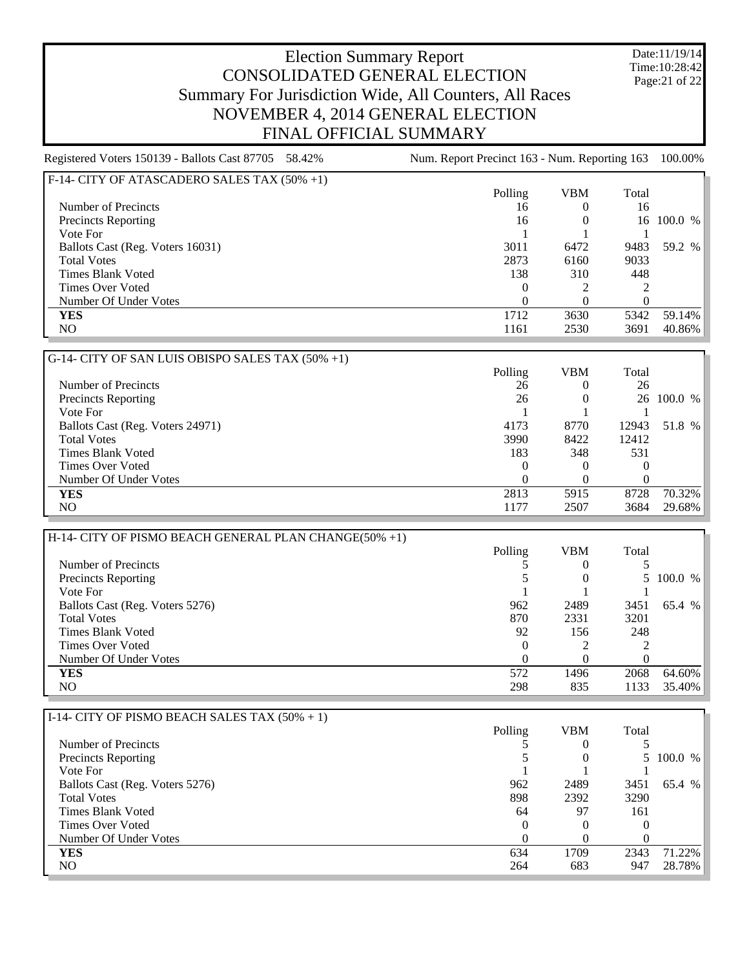Date:11/19/14 Time:10:28:42 Page:21 of 22

| Registered Voters 150139 - Ballots Cast 87705 58.42% | Num. Report Precinct 163 - Num. Reporting 163 |            |          | 100.00%    |
|------------------------------------------------------|-----------------------------------------------|------------|----------|------------|
| F-14- CITY OF ATASCADERO SALES TAX (50% +1)          |                                               |            |          |            |
|                                                      | Polling                                       | <b>VBM</b> | Total    |            |
| Number of Precincts                                  | 16                                            | $\theta$   | 16       |            |
| <b>Precincts Reporting</b>                           | 16                                            |            |          | 16 100.0 % |
| Vote For                                             |                                               |            |          |            |
| Ballots Cast (Reg. Voters 16031)                     | 3011                                          | 6472       | 9483     | 59.2 %     |
| <b>Total Votes</b>                                   | 2873                                          | 6160       | 9033     |            |
| <b>Times Blank Voted</b>                             | 138                                           | 310        | 448      |            |
| <b>Times Over Voted</b>                              | $\theta$                                      |            |          |            |
| Number Of Under Votes                                | $\theta$                                      |            | $\Omega$ |            |
| <b>YES</b>                                           | 1712                                          | 3630       | 5342     | 59.14%     |
| NO.                                                  | 1161                                          | 2530       | 3691     | 40.86%     |
| G-14- CITY OF SAN LUIS OBISPO SALES TAX (50% +1)     |                                               |            |          |            |
|                                                      | Polling                                       | <b>VBM</b> | Total    |            |
| Number of Precincts                                  | 26                                            | $\theta$   | 26       |            |
| <b>Precincts Reporting</b>                           | 26                                            |            |          | 26 100.0 % |
| Vote For                                             |                                               |            |          |            |
| Ballots Cast (Reg. Voters 24971)                     | 4173                                          | 8770       | 12943    | 51.8 %     |
| <b>Total Votes</b>                                   | 3990                                          | 8422       | 12412    |            |
| <b>Times Blank Voted</b>                             | 183                                           | 348        | 531      |            |
| <b>Times Over Voted</b>                              | $\theta$                                      | $\cup$     | $\theta$ |            |
| Number Of Under Votes                                | $\boldsymbol{0}$                              | $\theta$   | $\theta$ |            |

| H-14- CITY OF PISMO BEACH GENERAL PLAN CHANGE(50% +1) |          |            |          |         |
|-------------------------------------------------------|----------|------------|----------|---------|
|                                                       | Polling  | <b>VBM</b> | Total    |         |
| Number of Precincts                                   |          |            |          |         |
| <b>Precincts Reporting</b>                            |          |            |          | 100.0 % |
| Vote For                                              |          |            |          |         |
| Ballots Cast (Reg. Voters 5276)                       | 962      | 2489       | 3451     | 65.4 %  |
| <b>Total Votes</b>                                    | 870      | 2331       | 3201     |         |
| Times Blank Voted                                     | 92       | 156        | 248      |         |
| <b>Times Over Voted</b>                               | $\theta$ |            |          |         |
| Number Of Under Votes                                 | 0        |            | $\theta$ |         |
| <b>YES</b>                                            | 572      | 1496       | 2068     | 64.60%  |
| NO                                                    | 298      | 835        | 1133     | 35.40%  |

**YES** 2813 5915 8728 70.32% NO 1177 2507 3684 29.68%

| I-14- CITY OF PISMO BEACH SALES TAX $(50\% + 1)$ |          |            |       |           |
|--------------------------------------------------|----------|------------|-------|-----------|
|                                                  | Polling  | <b>VBM</b> | Total |           |
| Number of Precincts                              |          |            |       |           |
| <b>Precincts Reporting</b>                       |          |            |       | 5 100.0 % |
| Vote For                                         |          |            |       |           |
| Ballots Cast (Reg. Voters 5276)                  | 962      | 2489       | 3451  | 65.4 %    |
| <b>Total Votes</b>                               | 898      | 2392       | 3290  |           |
| Times Blank Voted                                | 64       | 97         | 161   |           |
| Times Over Voted                                 | $\theta$ |            |       |           |
| Number Of Under Votes                            |          |            |       |           |
| <b>YES</b>                                       | 634      | 1709       | 2343  | 71.22%    |
| NO.                                              | 264      | 683        | 947   | 28.78%    |